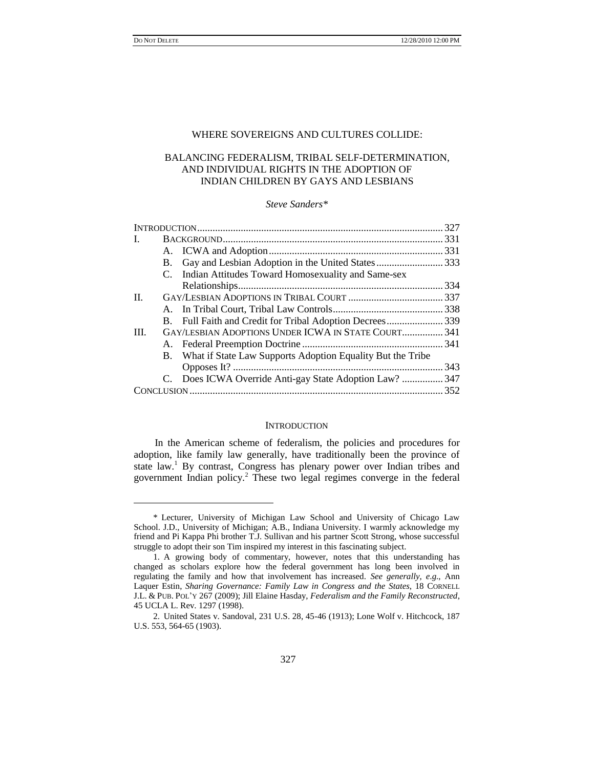l

### WHERE SOVEREIGNS AND CULTURES COLLIDE:

# BALANCING FEDERALISM, TRIBAL SELF-DETERMINATION, AND INDIVIDUAL RIGHTS IN THE ADOPTION OF INDIAN CHILDREN BY GAYS AND LESBIANS

#### *Steve Sanders\**

|      |           |                                                               | .327 |
|------|-----------|---------------------------------------------------------------|------|
| I.   |           |                                                               |      |
|      |           |                                                               |      |
|      | <b>B.</b> | Gay and Lesbian Adoption in the United States333              |      |
|      | C.        | Indian Attitudes Toward Homosexuality and Same-sex            |      |
|      |           |                                                               |      |
| II.  |           |                                                               |      |
|      |           |                                                               |      |
|      |           | B. Full Faith and Credit for Tribal Adoption Decrees339       |      |
| III. |           | GAY/LESBIAN ADOPTIONS UNDER ICWA IN STATE COURT 341           |      |
|      |           |                                                               |      |
|      |           | B. What if State Law Supports Adoption Equality But the Tribe |      |
|      |           |                                                               |      |
|      |           | C. Does ICWA Override Anti-gay State Adoption Law?  347       |      |
|      |           |                                                               |      |
|      |           |                                                               |      |

### **INTRODUCTION**

In the American scheme of federalism, the policies and procedures for adoption, like family law generally, have traditionally been the province of state law.<sup>1</sup> By contrast, Congress has plenary power over Indian tribes and government Indian policy.<sup>2</sup> These two legal regimes converge in the federal

<sup>\*</sup> Lecturer, University of Michigan Law School and University of Chicago Law School. J.D., University of Michigan; A.B., Indiana University. I warmly acknowledge my friend and Pi Kappa Phi brother T.J. Sullivan and his partner Scott Strong, whose successful struggle to adopt their son Tim inspired my interest in this fascinating subject.

<sup>1.</sup> A growing body of commentary, however, notes that this understanding has changed as scholars explore how the federal government has long been involved in regulating the family and how that involvement has increased. *See generally*, *e*.*g*., Ann Laquer Estin, *Sharing Governance: Family Law in Congress and the States*, 18 CORNELL J.L. & PUB. POL'Y 267 (2009); Jill Elaine Hasday, *Federalism and the Family Reconstructed*, 45 UCLA L. Rev. 1297 (1998).

<sup>2.</sup> United States v. Sandoval, 231 U.S. 28, 45-46 (1913); Lone Wolf v. Hitchcock, 187 U.S. 553, 564-65 (1903).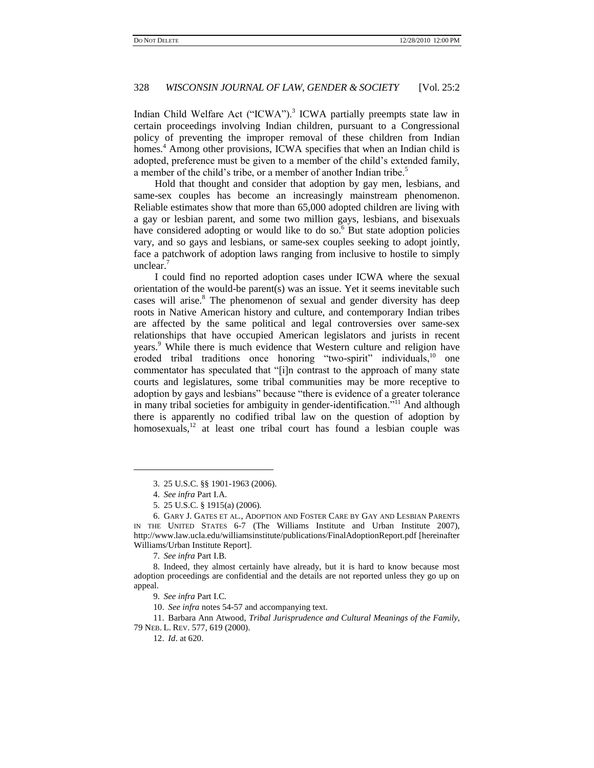Indian Child Welfare Act ("ICWA").<sup>3</sup> ICWA partially preempts state law in certain proceedings involving Indian children, pursuant to a Congressional policy of preventing the improper removal of these children from Indian homes.<sup>4</sup> Among other provisions, ICWA specifies that when an Indian child is adopted, preference must be given to a member of the child's extended family, a member of the child's tribe, or a member of another Indian tribe.<sup>5</sup>

<span id="page-1-1"></span>Hold that thought and consider that adoption by gay men, lesbians, and same-sex couples has become an increasingly mainstream phenomenon. Reliable estimates show that more than 65,000 adopted children are living with a gay or lesbian parent, and some two million gays, lesbians, and bisexuals have considered adopting or would like to do so.<sup>6</sup> But state adoption policies vary, and so gays and lesbians, or same-sex couples seeking to adopt jointly, face a patchwork of adoption laws ranging from inclusive to hostile to simply unclear.<sup>7</sup>

I could find no reported adoption cases under ICWA where the sexual orientation of the would-be parent(s) was an issue. Yet it seems inevitable such cases will arise.<sup>8</sup> The phenomenon of sexual and gender diversity has deep roots in Native American history and culture, and contemporary Indian tribes are affected by the same political and legal controversies over same-sex relationships that have occupied American legislators and jurists in recent years.<sup>9</sup> While there is much evidence that Western culture and religion have eroded tribal traditions once honoring "two-spirit" individuals,<sup>10</sup> one commentator has speculated that "[i]n contrast to the approach of many state courts and legislatures, some tribal communities may be more receptive to adoption by gays and lesbians" because "there is evidence of a greater tolerance in many tribal societies for ambiguity in gender-identification."<sup>11</sup> And although there is apparently no codified tribal law on the question of adoption by homosexuals,<sup>12</sup> at least one tribal court has found a lesbian couple was

<span id="page-1-0"></span><sup>3.</sup> 25 U.S.C. §§ 1901-1963 (2006).

<sup>4.</sup> *See infra* Part I.A.

<sup>5.</sup> 25 U.S.C. § 1915(a) (2006).

<sup>6.</sup> GARY J. GATES ET AL., ADOPTION AND FOSTER CARE BY GAY AND LESBIAN PARENTS IN THE UNITED STATES 6-7 (The Williams Institute and Urban Institute 2007), http://www.law.ucla.edu/williamsinstitute/publications/FinalAdoptionReport.pdf [hereinafter Williams/Urban Institute Report].

<sup>7.</sup> *See infra* Part I.B.

<sup>8.</sup> Indeed, they almost certainly have already, but it is hard to know because most adoption proceedings are confidential and the details are not reported unless they go up on appeal.

<sup>9.</sup> *See infra* Part I.C.

<sup>10.</sup> *See infra* notes [54](#page-8-0)[-57](#page-8-1) and accompanying text.

<sup>11.</sup> Barbara Ann Atwood, *Tribal Jurisprudence and Cultural Meanings of the Family*, 79 NEB. L. REV. 577, 619 (2000).

<sup>12.</sup> *Id*. at 620.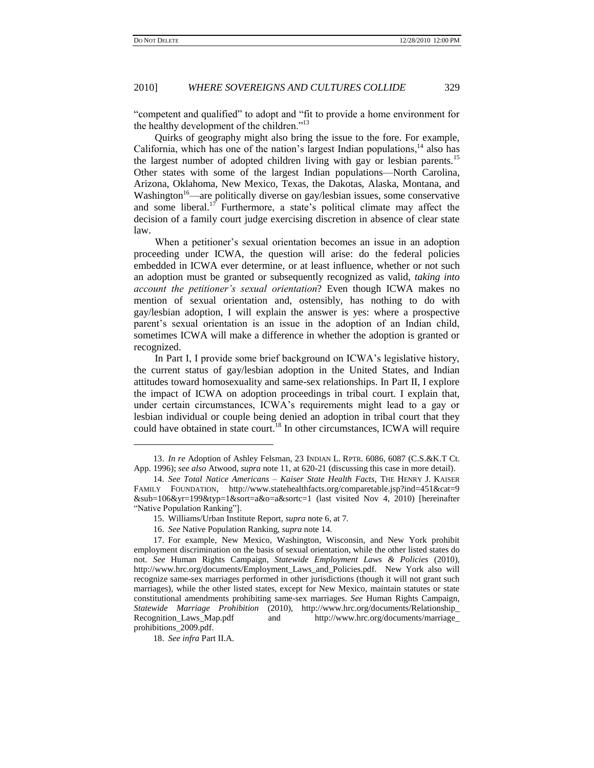―competent and qualified‖ to adopt and ―fit to provide a home environment for the healthy development of the children." $13$ 

Quirks of geography might also bring the issue to the fore. For example, California, which has one of the nation's largest Indian populations, $14$  also has the largest number of adopted children living with gay or lesbian parents.<sup>15</sup> Other states with some of the largest Indian populations—North Carolina, Arizona, Oklahoma, New Mexico, Texas, the Dakotas, Alaska, Montana, and Washington<sup>16</sup>—are politically diverse on gay/lesbian issues, some conservative and some liberal.<sup>17</sup> Furthermore, a state's political climate may affect the decision of a family court judge exercising discretion in absence of clear state law.

When a petitioner's sexual orientation becomes an issue in an adoption proceeding under ICWA, the question will arise: do the federal policies embedded in ICWA ever determine, or at least influence, whether or not such an adoption must be granted or subsequently recognized as valid, *taking into account the petitioner's sexual orientation*? Even though ICWA makes no mention of sexual orientation and, ostensibly, has nothing to do with gay/lesbian adoption, I will explain the answer is yes: where a prospective parent's sexual orientation is an issue in the adoption of an Indian child, sometimes ICWA will make a difference in whether the adoption is granted or recognized.

In Part I, I provide some brief background on ICWA's legislative history, the current status of gay/lesbian adoption in the United States, and Indian attitudes toward homosexuality and same-sex relationships. In Part II, I explore the impact of ICWA on adoption proceedings in tribal court. I explain that, under certain circumstances, ICWA's requirements might lead to a gay or lesbian individual or couple being denied an adoption in tribal court that they could have obtained in state court.<sup>18</sup> In other circumstances, ICWA will require

16. *See* Native Population Ranking, *supra* note [14.](#page-2-0)

18. *See infra* Part II.A.

<span id="page-2-0"></span>

<sup>13.</sup> *In re* Adoption of Ashley Felsman, 23 INDIAN L. RPTR. 6086, 6087 (C.S.&K.T Ct. App. 1996); *see also* Atwood, *supra* not[e 11,](#page-1-0) at 620-21 (discussing this case in more detail).

<sup>14.</sup> *See Total Natice Americans – Kaiser State Health Facts*, THE HENRY J. KAISER FAMILY FOUNDATION, [http://www.statehealthfacts.org/comparetable.jsp?ind=451&cat=9](http://www.statehealthfacts.org/comparetable.jsp?ind=451&cat=9&sub=106&yr=199&typ=1&sort=a&o=a&sortc=1) [&sub=106&yr=199&typ=1&sort=a&o=a&sortc=1](http://www.statehealthfacts.org/comparetable.jsp?ind=451&cat=9&sub=106&yr=199&typ=1&sort=a&o=a&sortc=1) (last visited Nov 4, 2010) [hereinafter ―Native Population Ranking‖].

<sup>15.</sup> Williams/Urban Institute Report, *supra* not[e 6,](#page-1-1) at 7.

<sup>17.</sup> For example, New Mexico, Washington, Wisconsin, and New York prohibit employment discrimination on the basis of sexual orientation, while the other listed states do not. *See* Human Rights Campaign*, Statewide Employment Laws & Policies* (2010), [http://www.hrc.org/documents/Employment\\_Laws\\_and\\_Policies.pdf.](http://www.hrc.org/documents/Employment_Laws_and_Policies.pdf) New York also will recognize same-sex marriages performed in other jurisdictions (though it will not grant such marriages), while the other listed states, except for New Mexico, maintain statutes or state constitutional amendments prohibiting same-sex marriages. *See* Human Rights Campaign, *Statewide Marriage Prohibition* (2010), [http://www.hrc.org/documents/Relationship\\_](http://www.hrc.org/documents/Relationship_Recognition_Laws_Map.pdf) [Recognition\\_Laws\\_Map.pdf](http://www.hrc.org/documents/Relationship_Recognition_Laws_Map.pdf) and [http://www.hrc.org/documents/marriage\\_](http://www.hrc.org/documents/marriage_prohibitions_2009.pdf) [prohibitions\\_2009.pdf.](http://www.hrc.org/documents/marriage_prohibitions_2009.pdf)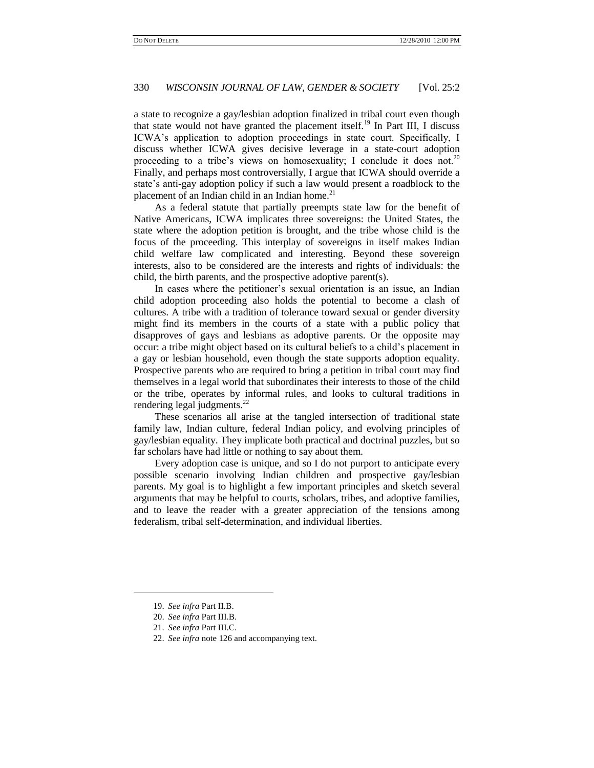a state to recognize a gay/lesbian adoption finalized in tribal court even though that state would not have granted the placement itself.<sup>19</sup> In Part III, I discuss ICWA's application to adoption proceedings in state court. Specifically, I discuss whether ICWA gives decisive leverage in a state-court adoption proceeding to a tribe's views on homosexuality; I conclude it does not.<sup>20</sup> Finally, and perhaps most controversially, I argue that ICWA should override a state's anti-gay adoption policy if such a law would present a roadblock to the placement of an Indian child in an Indian home. $^{21}$ 

As a federal statute that partially preempts state law for the benefit of Native Americans, ICWA implicates three sovereigns: the United States, the state where the adoption petition is brought, and the tribe whose child is the focus of the proceeding. This interplay of sovereigns in itself makes Indian child welfare law complicated and interesting. Beyond these sovereign interests, also to be considered are the interests and rights of individuals: the child, the birth parents, and the prospective adoptive parent(s).

In cases where the petitioner's sexual orientation is an issue, an Indian child adoption proceeding also holds the potential to become a clash of cultures. A tribe with a tradition of tolerance toward sexual or gender diversity might find its members in the courts of a state with a public policy that disapproves of gays and lesbians as adoptive parents. Or the opposite may occur: a tribe might object based on its cultural beliefs to a child's placement in a gay or lesbian household, even though the state supports adoption equality. Prospective parents who are required to bring a petition in tribal court may find themselves in a legal world that subordinates their interests to those of the child or the tribe, operates by informal rules, and looks to cultural traditions in rendering legal judgments.<sup>22</sup>

These scenarios all arise at the tangled intersection of traditional state family law, Indian culture, federal Indian policy, and evolving principles of gay/lesbian equality. They implicate both practical and doctrinal puzzles, but so far scholars have had little or nothing to say about them.

Every adoption case is unique, and so I do not purport to anticipate every possible scenario involving Indian children and prospective gay/lesbian parents. My goal is to highlight a few important principles and sketch several arguments that may be helpful to courts, scholars, tribes, and adoptive families, and to leave the reader with a greater appreciation of the tensions among federalism, tribal self-determination, and individual liberties.

 $\overline{a}$ 

<sup>19.</sup> *See infra* Part II.B.

<sup>20.</sup> *See infra* Part III.B.

<sup>21.</sup> *See infra* Part III.C.

<sup>22.</sup> *See infra* not[e 126](#page-20-0) and accompanying text.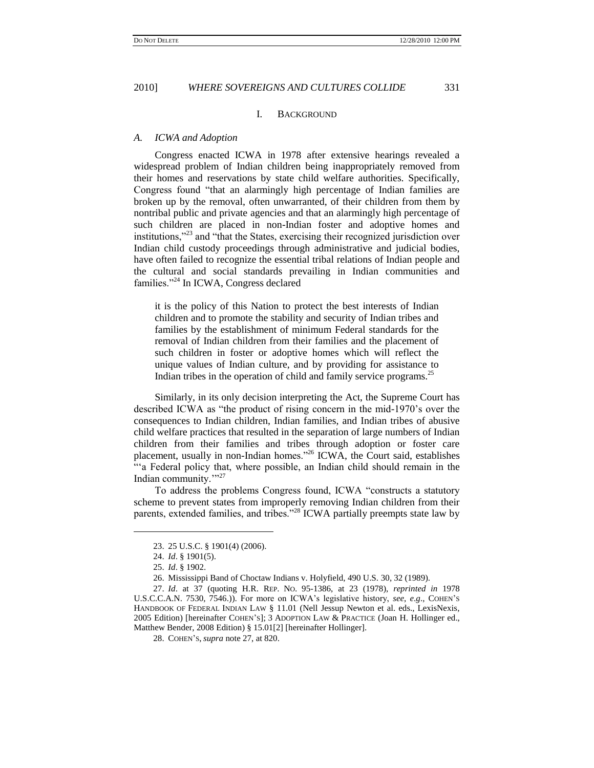#### I. BACKGROUND

#### *A. ICWA and Adoption*

Congress enacted ICWA in 1978 after extensive hearings revealed a widespread problem of Indian children being inappropriately removed from their homes and reservations by state child welfare authorities. Specifically, Congress found "that an alarmingly high percentage of Indian families are broken up by the removal, often unwarranted, of their children from them by nontribal public and private agencies and that an alarmingly high percentage of such children are placed in non-Indian foster and adoptive homes and institutions,"<sup>23</sup> and "that the States, exercising their recognized jurisdiction over Indian child custody proceedings through administrative and judicial bodies, have often failed to recognize the essential tribal relations of Indian people and the cultural and social standards prevailing in Indian communities and families."<sup>24</sup> In ICWA, Congress declared

<span id="page-4-1"></span>it is the policy of this Nation to protect the best interests of Indian children and to promote the stability and security of Indian tribes and families by the establishment of minimum Federal standards for the removal of Indian children from their families and the placement of such children in foster or adoptive homes which will reflect the unique values of Indian culture, and by providing for assistance to Indian tribes in the operation of child and family service programs.<sup>25</sup>

Similarly, in its only decision interpreting the Act, the Supreme Court has described ICWA as "the product of rising concern in the mid-1970's over the consequences to Indian children, Indian families, and Indian tribes of abusive child welfare practices that resulted in the separation of large numbers of Indian children from their families and tribes through adoption or foster care placement, usually in non-Indian homes.<sup>326</sup> ICWA, the Court said, establishes ―‗a Federal policy that, where possible, an Indian child should remain in the Indian community."<sup>27</sup>

<span id="page-4-0"></span>To address the problems Congress found, ICWA "constructs a statutory scheme to prevent states from improperly removing Indian children from their parents, extended families, and tribes."<sup>28</sup> ICWA partially preempts state law by

<sup>23.</sup> 25 U.S.C. § 1901(4) (2006).

<sup>24.</sup> *Id*. § 1901(5).

<sup>25.</sup> *Id*. § 1902.

<sup>26.</sup> Mississippi Band of Choctaw Indians v. Holyfield, 490 U.S. 30, 32 (1989).

<sup>27.</sup> *Id*. at 37 (quoting H.R. REP. NO. 95-1386, at 23 (1978), *reprinted in* 1978 U.S.C.C.A.N. 7530, 7546.)). For more on ICWA's legislative history, *see*, *e*.*g*., COHEN'S HANDBOOK OF FEDERAL INDIAN LAW § 11.01 (Nell Jessup Newton et al. eds., LexisNexis, 2005 Edition) [hereinafter COHEN'S]; 3 ADOPTION LAW & PRACTICE (Joan H. Hollinger ed., Matthew Bender, 2008 Edition) § 15.01[2] [hereinafter Hollinger].

<sup>28.</sup> COHEN'S, *supra* not[e 27,](#page-4-0) at 820.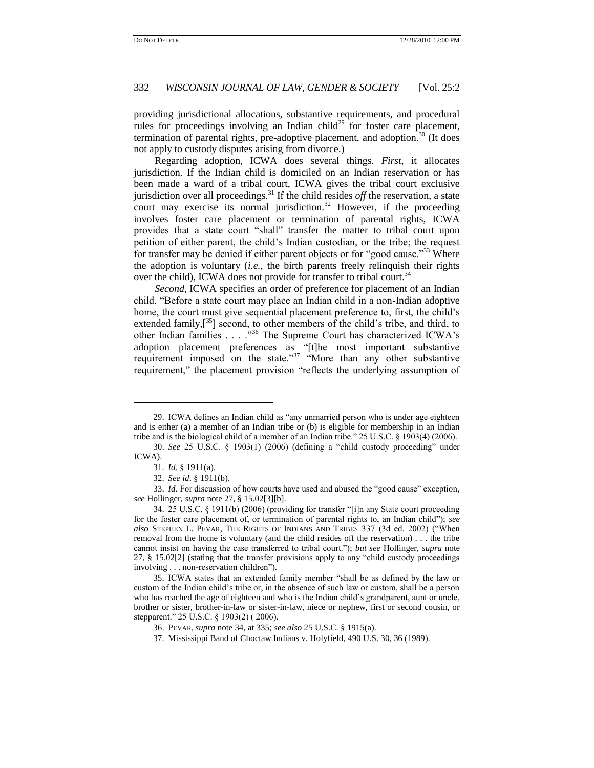providing jurisdictional allocations, substantive requirements, and procedural rules for proceedings involving an Indian child<sup>29</sup> for foster care placement, termination of parental rights, pre-adoptive placement, and adoption. $30$  (It does not apply to custody disputes arising from divorce.)

<span id="page-5-2"></span>Regarding adoption, ICWA does several things. *First*, it allocates jurisdiction. If the Indian child is domiciled on an Indian reservation or has been made a ward of a tribal court, ICWA gives the tribal court exclusive jurisdiction over all proceedings.<sup>31</sup> If the child resides *off* the reservation, a state court may exercise its normal jurisdiction.<sup>32</sup> However, if the proceeding involves foster care placement or termination of parental rights, ICWA provides that a state court "shall" transfer the matter to tribal court upon petition of either parent, the child's Indian custodian, or the tribe; the request for transfer may be denied if either parent objects or for "good cause.<sup>333</sup> Where the adoption is voluntary (*i.e.*, the birth parents freely relinquish their rights over the child), ICWA does not provide for transfer to tribal court.<sup>34</sup>

<span id="page-5-4"></span><span id="page-5-3"></span><span id="page-5-1"></span><span id="page-5-0"></span>*Second*, ICWA specifies an order of preference for placement of an Indian child. ―Before a state court may place an Indian child in a non-Indian adoptive home, the court must give sequential placement preference to, first, the child's extended family, $[^{35}]$  second, to other members of the child's tribe, and third, to other Indian families . . . . "36 The Supreme Court has characterized ICWA's adoption placement preferences as "[t]he most important substantive requirement imposed on the state.<sup>37</sup> "More than any other substantive requirement," the placement provision "reflects the underlying assumption of

l

33. *Id.* For discussion of how courts have used and abused the "good cause" exception, *see* Hollinger, *supra* not[e 27,](#page-4-0) § 15.02[3][b].

<sup>29.</sup> ICWA defines an Indian child as "any unmarried person who is under age eighteen and is either (a) a member of an Indian tribe or (b) is eligible for membership in an Indian tribe and is the biological child of a member of an Indian tribe."  $25 \text{ U.S.C.}$  § 1903(4) (2006).

<sup>30.</sup> *See* 25 U.S.C. § 1903(1) (2006) (defining a "child custody proceeding" under ICWA).

<sup>31.</sup> *Id*. § 1911(a).

<sup>32.</sup> *See id*. § 1911(b).

<sup>34. 25</sup> U.S.C. § 1911(b) (2006) (providing for transfer "[i]n any State court proceeding for the foster care placement of, or termination of parental rights to, an Indian child‖); *see also* STEPHEN L. PEVAR, THE RIGHTS OF INDIANS AND TRIBES 337 (3d ed. 2002) ("When removal from the home is voluntary (and the child resides off the reservation) . . . the tribe cannot insist on having the case transferred to tribal court."); *but see Hollinger, supra* note  $27, \,$  $27, \,$ § 15.02[2] (stating that the transfer provisions apply to any "child custody proceedings involving . . . non-reservation children").

<sup>35.</sup> ICWA states that an extended family member "shall be as defined by the law or custom of the Indian child's tribe or, in the absence of such law or custom, shall be a person who has reached the age of eighteen and who is the Indian child's grandparent, aunt or uncle, brother or sister, brother-in-law or sister-in-law, niece or nephew, first or second cousin, or stepparent." 25 U.S.C. § 1903(2) (2006).

<sup>36.</sup> PEVAR, *supra* note [34,](#page-5-0) at 335; *see also* 25 U.S.C. § 1915(a).

<sup>37.</sup> Mississippi Band of Choctaw Indians v. Holyfield, 490 U.S. 30, 36 (1989).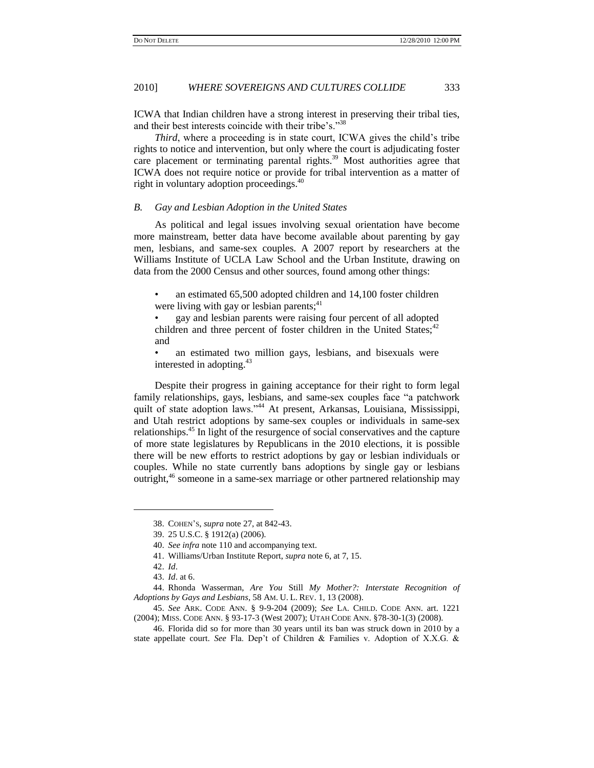<span id="page-6-1"></span>ICWA that Indian children have a strong interest in preserving their tribal ties, and their best interests coincide with their tribe's."<sup>38</sup>

<span id="page-6-2"></span>*Third*, where a proceeding is in state court, ICWA gives the child's tribe rights to notice and intervention, but only where the court is adjudicating foster care placement or terminating parental rights.<sup>39</sup> Most authorities agree that ICWA does not require notice or provide for tribal intervention as a matter of right in voluntary adoption proceedings.<sup>40</sup>

#### <span id="page-6-3"></span>*B. Gay and Lesbian Adoption in the United States*

As political and legal issues involving sexual orientation have become more mainstream, better data have become available about parenting by gay men, lesbians, and same-sex couples. A 2007 report by researchers at the Williams Institute of UCLA Law School and the Urban Institute, drawing on data from the 2000 Census and other sources, found among other things:

• an estimated 65,500 adopted children and 14,100 foster children were living with gay or lesbian parents; $41$ 

• gay and lesbian parents were raising four percent of all adopted children and three percent of foster children in the United States;<sup>42</sup> and

<span id="page-6-5"></span>an estimated two million gays, lesbians, and bisexuals were interested in adopting.<sup>43</sup>

<span id="page-6-0"></span>Despite their progress in gaining acceptance for their right to form legal family relationships, gays, lesbians, and same-sex couples face "a patchwork" quilt of state adoption laws."<sup>44</sup> At present, Arkansas, Louisiana, Mississippi, and Utah restrict adoptions by same-sex couples or individuals in same-sex relationships.<sup>45</sup> In light of the resurgence of social conservatives and the capture of more state legislatures by Republicans in the 2010 elections, it is possible there will be new efforts to restrict adoptions by gay or lesbian individuals or couples. While no state currently bans adoptions by single gay or lesbians outright,<sup>46</sup> someone in a same-sex marriage or other partnered relationship may

<span id="page-6-4"></span> $\overline{a}$ 

<sup>38.</sup> COHEN'S, *supra* not[e 27,](#page-4-0) at 842-43.

<sup>39.</sup> 25 U.S.C. § 1912(a) (2006).

<sup>40.</sup> *See infra* not[e 110](#page-17-0) and accompanying text.

<sup>41.</sup> Williams/Urban Institute Report, *supra* not[e 6,](#page-1-1) at 7, 15.

<sup>42.</sup> *Id*.

<sup>43.</sup> *Id*. at 6.

<sup>44.</sup> Rhonda Wasserman, *Are You* Still *My Mother?: Interstate Recognition of Adoptions by Gays and Lesbians*, 58 AM. U. L. REV. 1, 13 (2008).

<sup>45.</sup> *See* ARK. CODE ANN. § 9-9-204 (2009); *See* LA. CHILD. CODE ANN. art. 1221 (2004); MISS. CODE ANN. § 93-17-3 (West 2007); UTAH CODE ANN. §78-30-1(3) (2008).

<sup>46.</sup> Florida did so for more than 30 years until its ban was struck down in 2010 by a state appellate court. *See* Fla. Dep't of Children & Families v. Adoption of X.X.G. &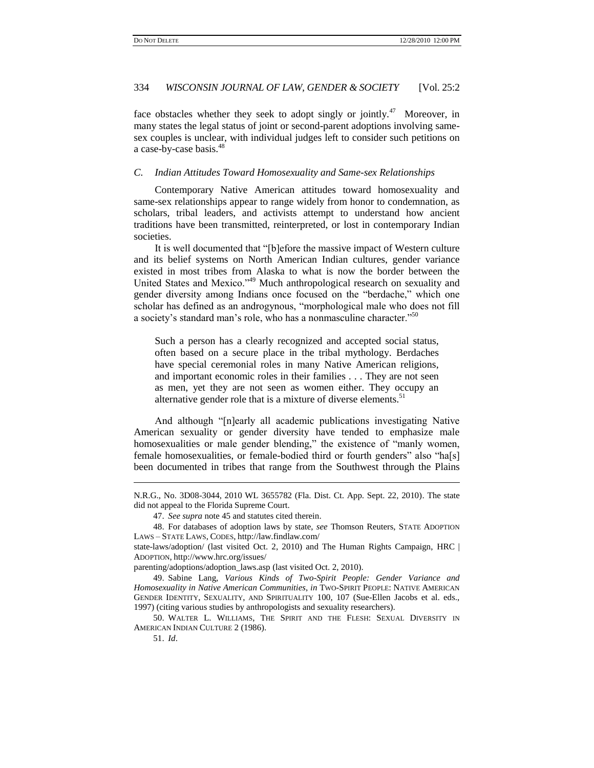face obstacles whether they seek to adopt singly or jointly.<sup>47</sup> Moreover, in many states the legal status of joint or second-parent adoptions involving samesex couples is unclear, with individual judges left to consider such petitions on a case-by-case basis.<sup>48</sup>

### <span id="page-7-1"></span>*C. Indian Attitudes Toward Homosexuality and Same-sex Relationships*

Contemporary Native American attitudes toward homosexuality and same-sex relationships appear to range widely from honor to condemnation, as scholars, tribal leaders, and activists attempt to understand how ancient traditions have been transmitted, reinterpreted, or lost in contemporary Indian societies.

It is well documented that "[b]efore the massive impact of Western culture and its belief systems on North American Indian cultures, gender variance existed in most tribes from Alaska to what is now the border between the United States and Mexico."<sup>49</sup> Much anthropological research on sexuality and gender diversity among Indians once focused on the "berdache," which one scholar has defined as an androgynous, "morphological male who does not fill a society's standard man's role, who has a nonmasculine character."<sup>50</sup>

<span id="page-7-0"></span>Such a person has a clearly recognized and accepted social status, often based on a secure place in the tribal mythology. Berdaches have special ceremonial roles in many Native American religions, and important economic roles in their families . . . They are not seen as men, yet they are not seen as women either. They occupy an alternative gender role that is a mixture of diverse elements.<sup>51</sup>

And although "[n]early all academic publications investigating Native American sexuality or gender diversity have tended to emphasize male homosexualities or male gender blending," the existence of "manly women, female homosexualities, or female-bodied third or fourth genders" also "ha[s] been documented in tribes that range from the Southwest through the Plains

48. For databases of adoption laws by state, *see* Thomson Reuters, STATE ADOPTION LAWS – STATE LAWS, CODES, http://law.findlaw.com/

parenting/adoptions/adoption\_laws.asp (last visited Oct. 2, 2010).

50. WALTER L. WILLIAMS, THE SPIRIT AND THE FLESH: SEXUAL DIVERSITY IN AMERICAN INDIAN CULTURE 2 (1986).

N.R.G., No. 3D08-3044, 2010 WL 3655782 (Fla. Dist. Ct. App. Sept. 22, 2010). The state did not appeal to the Florida Supreme Court.

<sup>47.</sup> *See supra* not[e 45](#page-6-0) and statutes cited therein.

state-laws/adoption/ (last visited Oct. 2, 2010) and The Human Rights Campaign, HRC | ADOPTION, http://www.hrc.org/issues/

<sup>49.</sup> Sabine Lang, *Various Kinds of Two-Spirit People: Gender Variance and Homosexuality in Native American Communities*, *in* TWO-SPIRIT PEOPLE: NATIVE AMERICAN GENDER IDENTITY, SEXUALITY, AND SPIRITUALITY 100, 107 (Sue-Ellen Jacobs et al. eds., 1997) (citing various studies by anthropologists and sexuality researchers).

<sup>51.</sup> *Id*.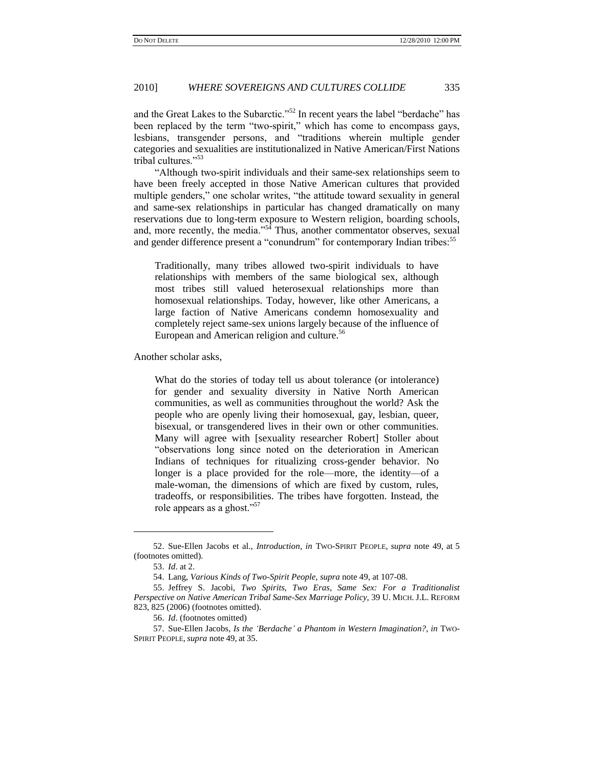and the Great Lakes to the Subarctic."<sup>52</sup> In recent years the label "berdache" has been replaced by the term "two-spirit," which has come to encompass gays, lesbians, transgender persons, and "traditions wherein multiple gender categories and sexualities are institutionalized in Native American/First Nations tribal cultures."<sup>53</sup>

―Although two-spirit individuals and their same-sex relationships seem to have been freely accepted in those Native American cultures that provided multiple genders," one scholar writes, "the attitude toward sexuality in general and same-sex relationships in particular has changed dramatically on many reservations due to long-term exposure to Western religion, boarding schools, and, more recently, the media."<sup>54</sup> Thus, another commentator observes, sexual and gender difference present a "conundrum" for contemporary Indian tribes:<sup>55</sup>

<span id="page-8-2"></span><span id="page-8-0"></span>Traditionally, many tribes allowed two-spirit individuals to have relationships with members of the same biological sex, although most tribes still valued heterosexual relationships more than homosexual relationships. Today, however, like other Americans, a large faction of Native Americans condemn homosexuality and completely reject same-sex unions largely because of the influence of European and American religion and culture.<sup>56</sup>

Another scholar asks,

What do the stories of today tell us about tolerance (or intolerance) for gender and sexuality diversity in Native North American communities, as well as communities throughout the world? Ask the people who are openly living their homosexual, gay, lesbian, queer, bisexual, or transgendered lives in their own or other communities. Many will agree with [sexuality researcher Robert] Stoller about "observations long since noted on the deterioration in American Indians of techniques for ritualizing cross-gender behavior. No longer is a place provided for the role—more, the identity—of a male-woman, the dimensions of which are fixed by custom, rules, tradeoffs, or responsibilities. The tribes have forgotten. Instead, the role appears as a ghost."<sup>57</sup>

<sup>52.</sup> Sue-Ellen Jacobs et al., *Introduction*, *in* TWO-SPIRIT PEOPLE, *supra* note [49,](#page-7-0) at 5 (footnotes omitted).

<span id="page-8-1"></span><sup>53.</sup> *Id*. at 2.

<sup>54.</sup> Lang, *Various Kinds of Two-Spirit People*, *supra* not[e 49,](#page-7-0) at 107-08.

<sup>55.</sup> Jeffrey S. Jacobi, *Two Spirits, Two Eras, Same Sex: For a Traditionalist Perspective on Native American Tribal Same-Sex Marriage Policy*, 39 U. MICH. J.L. REFORM 823, 825 (2006) (footnotes omitted).

<sup>56.</sup> *Id*. (footnotes omitted)

<sup>57.</sup> Sue-Ellen Jacobs, *Is the 'Berdache' a Phantom in Western Imagination?, in* TWO-SPIRIT PEOPLE, *supra* note [49,](#page-7-0) at 35.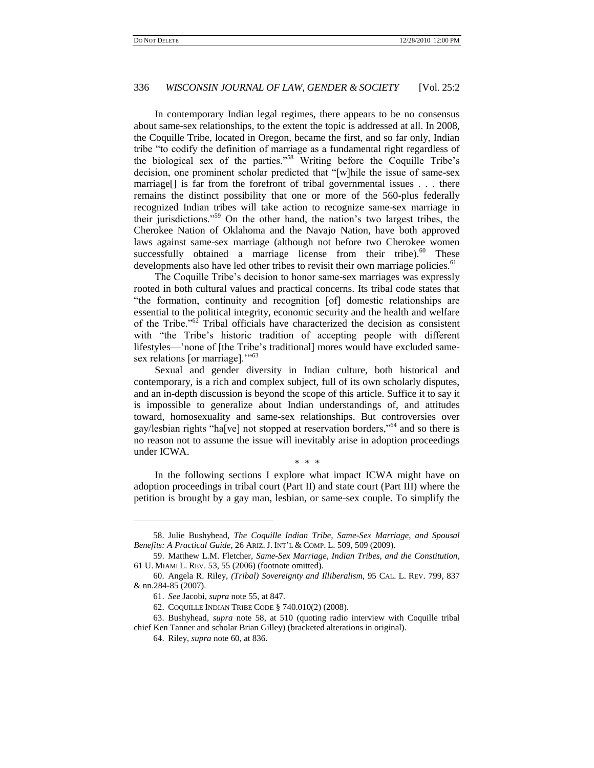<span id="page-9-0"></span>In contemporary Indian legal regimes, there appears to be no consensus about same-sex relationships, to the extent the topic is addressed at all. In 2008, the Coquille Tribe, located in Oregon, became the first, and so far only, Indian tribe "to codify the definition of marriage as a fundamental right regardless of the biological sex of the parties."<sup>58</sup> Writing before the Coquille Tribe's decision, one prominent scholar predicted that "[w]hile the issue of same-sex marriage<sup>[]</sup> is far from the forefront of tribal governmental issues . . . there remains the distinct possibility that one or more of the 560-plus federally recognized Indian tribes will take action to recognize same-sex marriage in their jurisdictions."<sup>59</sup> On the other hand, the nation's two largest tribes, the Cherokee Nation of Oklahoma and the Navajo Nation, have both approved laws against same-sex marriage (although not before two Cherokee women successfully obtained a marriage license from their tribe). $60$  These developments also have led other tribes to revisit their own marriage policies.<sup>61</sup>

<span id="page-9-2"></span>The Coquille Tribe's decision to honor same-sex marriages was expressly rooted in both cultural values and practical concerns. Its tribal code states that ―the formation, continuity and recognition [of] domestic relationships are essential to the political integrity, economic security and the health and welfare of the Tribe."<sup>62</sup> Tribal officials have characterized the decision as consistent with "the Tribe's historic tradition of accepting people with different lifestyles—'none of [the Tribe's traditional] mores would have excluded samesex relations [or marriage]."<sup>63</sup>

Sexual and gender diversity in Indian culture, both historical and contemporary, is a rich and complex subject, full of its own scholarly disputes, and an in-depth discussion is beyond the scope of this article. Suffice it to say it is impossible to generalize about Indian understandings of, and attitudes toward, homosexuality and same-sex relationships. But controversies over gay/lesbian rights "ha[ve] not stopped at reservation borders,"<sup>64</sup> and so there is no reason not to assume the issue will inevitably arise in adoption proceedings under ICWA.

#### <span id="page-9-1"></span>\* \* \*

In the following sections I explore what impact ICWA might have on adoption proceedings in tribal court (Part II) and state court (Part III) where the petition is brought by a gay man, lesbian, or same-sex couple. To simplify the

 $\overline{a}$ 

<sup>58.</sup> Julie Bushyhead, *The Coquille Indian Tribe, Same-Sex Marriage, and Spousal Benefits: A Practical Guide*, 26 ARIZ. J. INT'L & COMP. L. 509, 509 (2009).

<sup>59.</sup> Matthew L.M. Fletcher, *Same-Sex Marriage, Indian Tribes, and the Constitution*, 61 U. MIAMI L. REV. 53, 55 (2006) (footnote omitted).

<sup>60.</sup> Angela R. Riley, *(Tribal) Sovereignty and Illiberalism*, 95 CAL. L. REV. 799, 837 & nn.284-85 (2007).

<sup>61.</sup> *See* Jacobi, *supra* note [55,](#page-8-2) at 847.

<sup>62.</sup> COQUILLE INDIAN TRIBE CODE § 740.010(2) (2008).

<sup>63.</sup> Bushyhead, *supra* note [58,](#page-9-0) at 510 (quoting radio interview with Coquille tribal chief Ken Tanner and scholar Brian Gilley) (bracketed alterations in original).

<sup>64.</sup> Riley, *supra* note [60,](#page-9-1) at 836.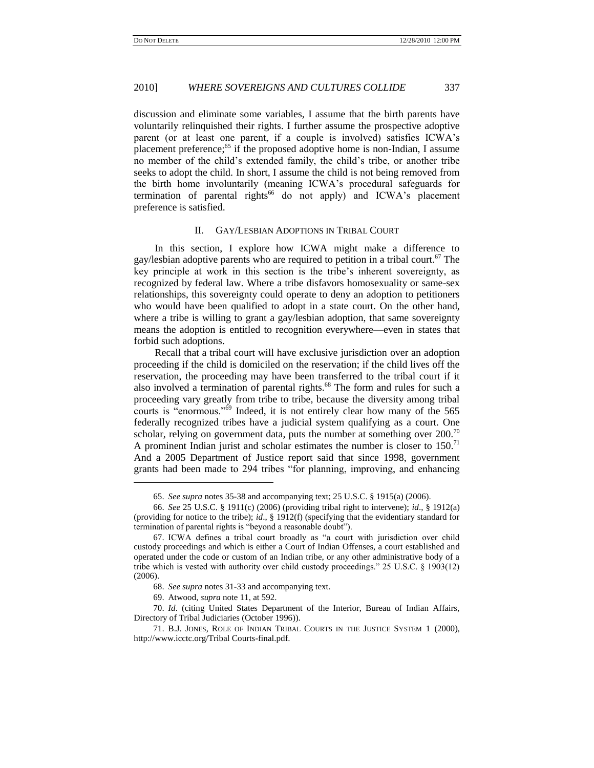discussion and eliminate some variables, I assume that the birth parents have voluntarily relinquished their rights. I further assume the prospective adoptive parent (or at least one parent, if a couple is involved) satisfies ICWA's placement preference;<sup>65</sup> if the proposed adoptive home is non-Indian, I assume no member of the child's extended family, the child's tribe, or another tribe seeks to adopt the child. In short, I assume the child is not being removed from the birth home involuntarily (meaning ICWA's procedural safeguards for termination of parental rights<sup>66</sup> do not apply) and ICWA's placement preference is satisfied.

### II. GAY/LESBIAN ADOPTIONS IN TRIBAL COURT

In this section, I explore how ICWA might make a difference to gay/lesbian adoptive parents who are required to petition in a tribal court.<sup>67</sup> The key principle at work in this section is the tribe's inherent sovereignty, as recognized by federal law. Where a tribe disfavors homosexuality or same-sex relationships, this sovereignty could operate to deny an adoption to petitioners who would have been qualified to adopt in a state court. On the other hand, where a tribe is willing to grant a gay/lesbian adoption, that same sovereignty means the adoption is entitled to recognition everywhere—even in states that forbid such adoptions.

Recall that a tribal court will have exclusive jurisdiction over an adoption proceeding if the child is domiciled on the reservation; if the child lives off the reservation, the proceeding may have been transferred to the tribal court if it also involved a termination of parental rights.<sup>68</sup> The form and rules for such a proceeding vary greatly from tribe to tribe, because the diversity among tribal courts is "enormous."<sup>69</sup> Indeed, it is not entirely clear how many of the 565 federally recognized tribes have a judicial system qualifying as a court. One scholar, relying on government data, puts the number at something over  $200$ .<sup>70</sup> A prominent Indian jurist and scholar estimates the number is closer to  $150$ .<sup>71</sup> And a 2005 Department of Justice report said that since 1998, government grants had been made to 294 tribes "for planning, improving, and enhancing

<span id="page-10-0"></span><sup>65.</sup> *See supra* notes [35](#page-5-1)[-38](#page-6-1) and accompanying text; 25 U.S.C. § 1915(a) (2006).

<sup>66.</sup> *See* 25 U.S.C. § 1911(c) (2006) (providing tribal right to intervene); *id*., § 1912(a) (providing for notice to the tribe); *id*., § 1912(f) (specifying that the evidentiary standard for termination of parental rights is "beyond a reasonable doubt").

<sup>67.</sup> ICWA defines a tribal court broadly as "a court with jurisdiction over child custody proceedings and which is either a Court of Indian Offenses, a court established and operated under the code or custom of an Indian tribe, or any other administrative body of a tribe which is vested with authority over child custody proceedings." 25 U.S.C.  $\S$  1903(12) (2006).

<sup>68.</sup> *See supra* notes [31](#page-5-2)[-33](#page-5-3) and accompanying text.

<sup>69.</sup> Atwood, *supra* not[e 11,](#page-1-0) at 592.

<sup>70.</sup> *Id*. (citing United States Department of the Interior, Bureau of Indian Affairs, Directory of Tribal Judiciaries (October 1996)).

<sup>71.</sup> B.J. JONES, ROLE OF INDIAN TRIBAL COURTS IN THE JUSTICE SYSTEM 1 (2000), http://www.icctc.org/Tribal Courts-final.pdf.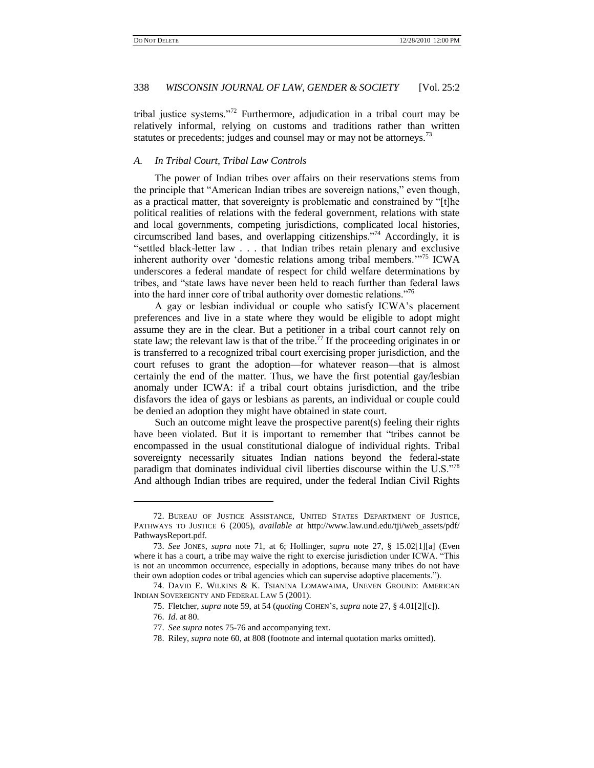tribal justice systems.<sup>772</sup> Furthermore, adjudication in a tribal court may be relatively informal, relying on customs and traditions rather than written statutes or precedents; judges and counsel may or may not be attorneys.<sup>73</sup>

#### *A. In Tribal Court, Tribal Law Controls*

<span id="page-11-2"></span>The power of Indian tribes over affairs on their reservations stems from the principle that "American Indian tribes are sovereign nations," even though, as a practical matter, that sovereignty is problematic and constrained by "[t]he political realities of relations with the federal government, relations with state and local governments, competing jurisdictions, complicated local histories, circumscribed land bases, and overlapping citizenships."<sup>74</sup> Accordingly, it is "settled black-letter law . . . that Indian tribes retain plenary and exclusive inherent authority over 'domestic relations among tribal members."<sup>75</sup> ICWA underscores a federal mandate of respect for child welfare determinations by tribes, and "state laws have never been held to reach further than federal laws into the hard inner core of tribal authority over domestic relations.<sup>776</sup>

<span id="page-11-1"></span><span id="page-11-0"></span>A gay or lesbian individual or couple who satisfy ICWA's placement preferences and live in a state where they would be eligible to adopt might assume they are in the clear. But a petitioner in a tribal court cannot rely on state law; the relevant law is that of the tribe.<sup>77</sup> If the proceeding originates in or is transferred to a recognized tribal court exercising proper jurisdiction, and the court refuses to grant the adoption—for whatever reason—that is almost certainly the end of the matter. Thus, we have the first potential gay/lesbian anomaly under ICWA: if a tribal court obtains jurisdiction, and the tribe disfavors the idea of gays or lesbians as parents, an individual or couple could be denied an adoption they might have obtained in state court.

Such an outcome might leave the prospective parent(s) feeling their rights have been violated. But it is important to remember that "tribes cannot be encompassed in the usual constitutional dialogue of individual rights. Tribal sovereignty necessarily situates Indian nations beyond the federal-state paradigm that dominates individual civil liberties discourse within the  $\text{U.S.}^{\cdot\cdot\cdot\cdot\cdot\cdot}$ And although Indian tribes are required, under the federal Indian Civil Rights

75. Fletcher, *supra* not[e 59,](#page-9-2) at 54 (*quoting* COHEN'S, *supra* not[e 27,](#page-4-0) § 4.01[2][c]).

<sup>72.</sup> BUREAU OF JUSTICE ASSISTANCE, UNITED STATES DEPARTMENT OF JUSTICE, PATHWAYS TO JUSTICE 6 (2005), *available at* http://www.law.und.edu/tji/web\_assets/pdf/ PathwaysReport.pdf.

<sup>73.</sup> *See* JONES, *supra* note [71,](#page-10-0) at 6; Hollinger, *supra* note [27,](#page-4-0) § 15.02[1][a] (Even where it has a court, a tribe may waive the right to exercise jurisdiction under ICWA. "This is not an uncommon occurrence, especially in adoptions, because many tribes do not have their own adoption codes or tribal agencies which can supervise adoptive placements.").

<sup>74.</sup> DAVID E. WILKINS & K. TSIANINA LOMAWAIMA, UNEVEN GROUND: AMERICAN INDIAN SOVEREIGNTY AND FEDERAL LAW 5 (2001).

<sup>76.</sup> *Id*. at 80.

<sup>77.</sup> *See supra* notes [75](#page-11-0)[-76](#page-11-1) and accompanying text.

<sup>78.</sup> Riley, *supra* note [60,](#page-9-1) at 808 (footnote and internal quotation marks omitted).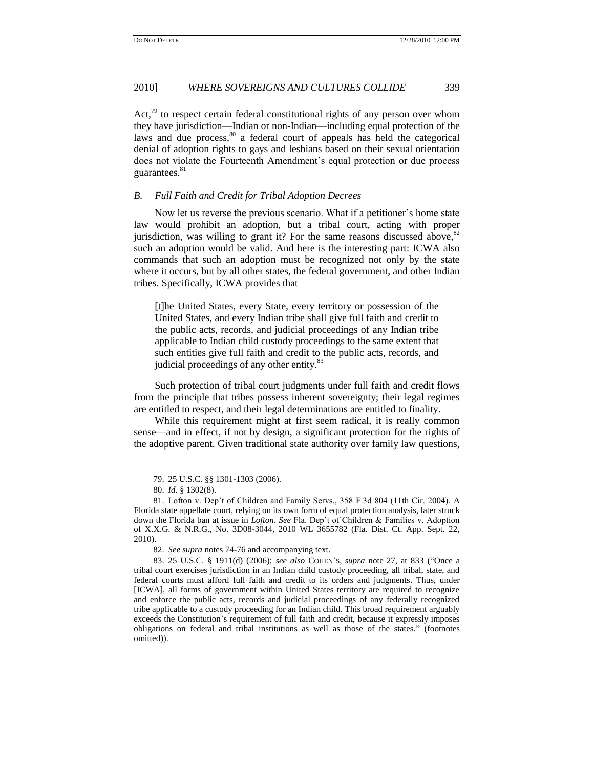Act, $79$  to respect certain federal constitutional rights of any person over whom they have jurisdiction—Indian or non-Indian—including equal protection of the laws and due process,<sup>80</sup> a federal court of appeals has held the categorical denial of adoption rights to gays and lesbians based on their sexual orientation does not violate the Fourteenth Amendment's equal protection or due process guarantees.<sup>81</sup>

### *B. Full Faith and Credit for Tribal Adoption Decrees*

Now let us reverse the previous scenario. What if a petitioner's home state law would prohibit an adoption, but a tribal court, acting with proper jurisdiction, was willing to grant it? For the same reasons discussed above,  $82$ such an adoption would be valid. And here is the interesting part: ICWA also commands that such an adoption must be recognized not only by the state where it occurs, but by all other states, the federal government, and other Indian tribes. Specifically, ICWA provides that

[t]he United States, every State, every territory or possession of the United States, and every Indian tribe shall give full faith and credit to the public acts, records, and judicial proceedings of any Indian tribe applicable to Indian child custody proceedings to the same extent that such entities give full faith and credit to the public acts, records, and judicial proceedings of any other entity.<sup>83</sup>

Such protection of tribal court judgments under full faith and credit flows from the principle that tribes possess inherent sovereignty; their legal regimes are entitled to respect, and their legal determinations are entitled to finality.

While this requirement might at first seem radical, it is really common sense—and in effect, if not by design, a significant protection for the rights of the adoptive parent. Given traditional state authority over family law questions,

<sup>79.</sup> 25 U.S.C. §§ 1301-1303 (2006).

<sup>80.</sup> *Id*. § 1302(8).

<sup>81.</sup> Lofton v. Dep't of Children and Family Servs., 358 F.3d 804 (11th Cir. 2004). A Florida state appellate court, relying on its own form of equal protection analysis, later struck down the Florida ban at issue in *Lofton*. *See* Fla. Dep't of Children & Families v. Adoption of X.X.G. & N.R.G., No. 3D08-3044, 2010 WL 3655782 (Fla. Dist. Ct. App. Sept. 22, 2010).

<sup>82.</sup> *See supra* notes [74](#page-11-2)[-76](#page-11-1) and accompanying text.

<sup>83. 25</sup> U.S.C. § 1911(d) (2006); *see also* COHEN's, *supra* note [27,](#page-4-0) at 833 ("Once a tribal court exercises jurisdiction in an Indian child custody proceeding, all tribal, state, and federal courts must afford full faith and credit to its orders and judgments. Thus, under [ICWA], all forms of government within United States territory are required to recognize and enforce the public acts, records and judicial proceedings of any federally recognized tribe applicable to a custody proceeding for an Indian child. This broad requirement arguably exceeds the Constitution's requirement of full faith and credit, because it expressly imposes obligations on federal and tribal institutions as well as those of the states." (footnotes omitted)).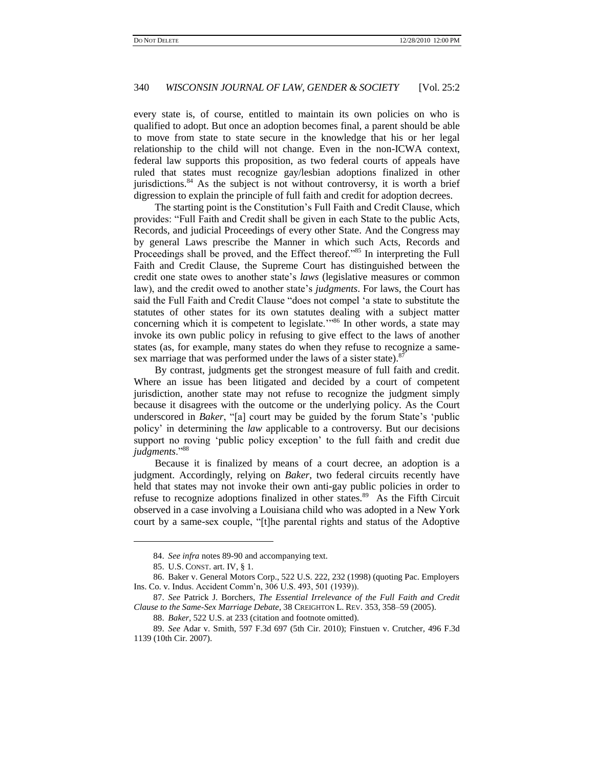every state is, of course, entitled to maintain its own policies on who is qualified to adopt. But once an adoption becomes final, a parent should be able to move from state to state secure in the knowledge that his or her legal relationship to the child will not change. Even in the non-ICWA context, federal law supports this proposition, as two federal courts of appeals have ruled that states must recognize gay/lesbian adoptions finalized in other jurisdictions.<sup>84</sup> As the subject is not without controversy, it is worth a brief digression to explain the principle of full faith and credit for adoption decrees.

The starting point is the Constitution's Full Faith and Credit Clause, which provides: "Full Faith and Credit shall be given in each State to the public Acts, Records, and judicial Proceedings of every other State. And the Congress may by general Laws prescribe the Manner in which such Acts, Records and Proceedings shall be proved, and the Effect thereof."<sup>85</sup> In interpreting the Full Faith and Credit Clause, the Supreme Court has distinguished between the credit one state owes to another state's *laws* (legislative measures or common law), and the credit owed to another state's *judgments*. For laws, the Court has said the Full Faith and Credit Clause "does not compel 'a state to substitute the statutes of other states for its own statutes dealing with a subject matter concerning which it is competent to legislate.<sup> $m86$ </sup> In other words, a state may invoke its own public policy in refusing to give effect to the laws of another states (as, for example, many states do when they refuse to recognize a samesex marriage that was performed under the laws of a sister state).<sup>87</sup>

By contrast, judgments get the strongest measure of full faith and credit. Where an issue has been litigated and decided by a court of competent jurisdiction, another state may not refuse to recognize the judgment simply because it disagrees with the outcome or the underlying policy. As the Court underscored in *Baker*, "[a] court may be guided by the forum State's 'public policy' in determining the *law* applicable to a controversy. But our decisions support no roving 'public policy exception' to the full faith and credit due judgments."<sup>88</sup>

Because it is finalized by means of a court decree, an adoption is a judgment. Accordingly, relying on *Baker*, two federal circuits recently have held that states may not invoke their own anti-gay public policies in order to refuse to recognize adoptions finalized in other states.<sup>89</sup> As the Fifth Circuit observed in a case involving a Louisiana child who was adopted in a New York court by a same-sex couple, "[t]he parental rights and status of the Adoptive

 $\overline{a}$ 

<span id="page-13-0"></span><sup>84.</sup> *See infra* notes [89](#page-13-0)[-90](#page-14-0) and accompanying text.

<sup>85.</sup> U.S. CONST. art. IV, § 1.

<sup>86.</sup> Baker v. General Motors Corp., 522 U.S. 222, 232 (1998) (quoting Pac. Employers Ins. Co. v. Indus. Accident Comm'n, 306 U.S. 493, 501 (1939)).

<sup>87.</sup> *See* Patrick J. Borchers, *The Essential Irrelevance of the Full Faith and Credit Clause to the Same-Sex Marriage Debate*, 38 CREIGHTON L. REV. 353, 358–59 (2005).

<sup>88.</sup> *Baker*, 522 U.S. at 233 (citation and footnote omitted).

<sup>89.</sup> *See* Adar v. Smith, 597 F.3d 697 (5th Cir. 2010); Finstuen v. Crutcher*,* 496 F.3d 1139 (10th Cir. 2007).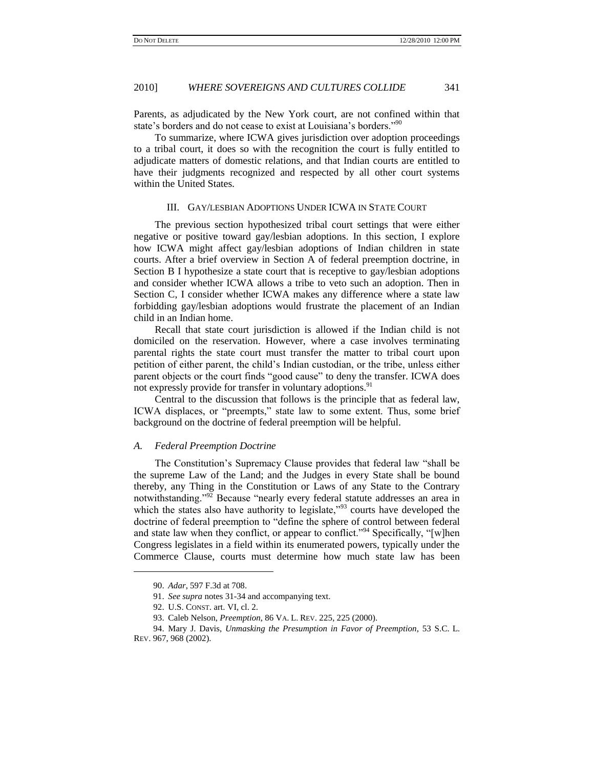Parents, as adjudicated by the New York court, are not confined within that state's borders and do not cease to exist at Louisiana's borders."<sup>90</sup>

To summarize, where ICWA gives jurisdiction over adoption proceedings to a tribal court, it does so with the recognition the court is fully entitled to adjudicate matters of domestic relations, and that Indian courts are entitled to have their judgments recognized and respected by all other court systems within the United States.

### <span id="page-14-0"></span>III. GAY/LESBIAN ADOPTIONS UNDER ICWA IN STATE COURT

The previous section hypothesized tribal court settings that were either negative or positive toward gay/lesbian adoptions. In this section, I explore how ICWA might affect gay/lesbian adoptions of Indian children in state courts. After a brief overview in Section A of federal preemption doctrine, in Section B I hypothesize a state court that is receptive to gay/lesbian adoptions and consider whether ICWA allows a tribe to veto such an adoption. Then in Section C, I consider whether ICWA makes any difference where a state law forbidding gay/lesbian adoptions would frustrate the placement of an Indian child in an Indian home.

Recall that state court jurisdiction is allowed if the Indian child is not domiciled on the reservation. However, where a case involves terminating parental rights the state court must transfer the matter to tribal court upon petition of either parent, the child's Indian custodian, or the tribe, unless either parent objects or the court finds "good cause" to deny the transfer. ICWA does not expressly provide for transfer in voluntary adoptions.<sup>91</sup>

Central to the discussion that follows is the principle that as federal law, ICWA displaces, or "preempts," state law to some extent. Thus, some brief background on the doctrine of federal preemption will be helpful.

### *A. Federal Preemption Doctrine*

The Constitution's Supremacy Clause provides that federal law "shall be the supreme Law of the Land; and the Judges in every State shall be bound thereby, any Thing in the Constitution or Laws of any State to the Contrary notwithstanding."<sup>92</sup> Because "nearly every federal statute addresses an area in which the states also have authority to legislate,<sup> $93$ </sup> courts have developed the doctrine of federal preemption to "define the sphere of control between federal and state law when they conflict, or appear to conflict.<sup>994</sup> Specifically, "[w]hen Congress legislates in a field within its enumerated powers, typically under the Commerce Clause, courts must determine how much state law has been

 $\overline{\phantom{a}}$ 

<sup>90.</sup> *Adar*, 597 F.3d at 708.

<sup>91.</sup> *See supra* notes [31](#page-5-2)[-34](#page-5-4) and accompanying text.

<sup>92.</sup> U.S. CONST. art. VI, cl. 2.

<sup>93.</sup> Caleb Nelson, *Preemption*, 86 VA. L. REV. 225, 225 (2000).

<sup>94.</sup> Mary J. Davis, *Unmasking the Presumption in Favor of Preemption*, 53 S.C. L. REV. 967, 968 (2002).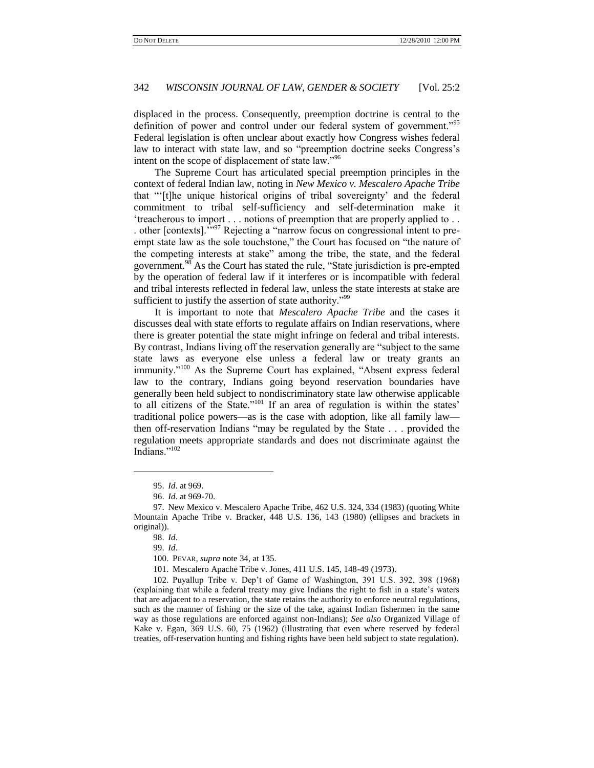displaced in the process. Consequently, preemption doctrine is central to the definition of power and control under our federal system of government.<sup>1955</sup> Federal legislation is often unclear about exactly how Congress wishes federal law to interact with state law, and so "preemption doctrine seeks Congress's intent on the scope of displacement of state law."<sup>96</sup>

The Supreme Court has articulated special preemption principles in the context of federal Indian law, noting in *New Mexico v. Mescalero Apache Tribe* that "[t]he unique historical origins of tribal sovereignty' and the federal commitment to tribal self-sufficiency and self-determination make it ‗treacherous to import . . . notions of preemption that are properly applied to . . . other [contexts]. $\cdot$ <sup>97</sup> Rejecting a "narrow focus on congressional intent to preempt state law as the sole touchstone," the Court has focused on "the nature of the competing interests at stake" among the tribe, the state, and the federal government.<sup>98</sup> As the Court has stated the rule, "State jurisdiction is pre-empted by the operation of federal law if it interferes or is incompatible with federal and tribal interests reflected in federal law, unless the state interests at stake are sufficient to justify the assertion of state authority.<sup> $99$ 9</sup>

It is important to note that *Mescalero Apache Tribe* and the cases it discusses deal with state efforts to regulate affairs on Indian reservations, where there is greater potential the state might infringe on federal and tribal interests. By contrast, Indians living off the reservation generally are "subject to the same state laws as everyone else unless a federal law or treaty grants an immunity."<sup>100</sup> As the Supreme Court has explained, "Absent express federal law to the contrary, Indians going beyond reservation boundaries have generally been held subject to nondiscriminatory state law otherwise applicable to all citizens of the State."<sup>101</sup> If an area of regulation is within the states' traditional police powers—as is the case with adoption, like all family law then off-reservation Indians "may be regulated by the State . . . provided the regulation meets appropriate standards and does not discriminate against the Indians."102

 $\overline{\phantom{a}}$ 

<sup>95.</sup> *Id*. at 969.

<sup>96.</sup> *Id*. at 969-70.

<sup>97.</sup> New Mexico v. Mescalero Apache Tribe, 462 U.S. 324, 334 (1983) (quoting White Mountain Apache Tribe v. Bracker, 448 U.S. 136, 143 (1980) (ellipses and brackets in original)).

<sup>98.</sup> *Id*.

<sup>99.</sup> *Id*.

<sup>100.</sup> PEVAR, *supra* note [34,](#page-5-4) at 135.

<sup>101.</sup> Mescalero Apache Tribe v. Jones, 411 U.S. 145, 148-49 (1973).

<sup>102.</sup> Puyallup Tribe v. Dep't of Game of Washington, 391 U.S. 392, 398 (1968) (explaining that while a federal treaty may give Indians the right to fish in a state's waters that are adjacent to a reservation, the state retains the authority to enforce neutral regulations, such as the manner of fishing or the size of the take, against Indian fishermen in the same way as those regulations are enforced against non-Indians); *See also* Organized Village of Kake v. Egan, 369 U.S. 60, 75 (1962) (illustrating that even where reserved by federal treaties, off-reservation hunting and fishing rights have been held subject to state regulation).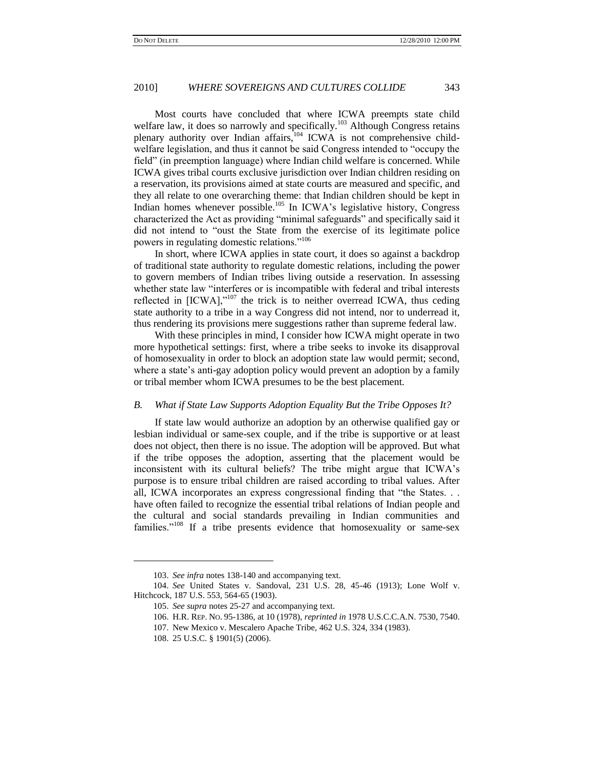Most courts have concluded that where ICWA preempts state child welfare law, it does so narrowly and specifically.<sup>103</sup> Although Congress retains plenary authority over Indian affairs,<sup>104</sup> ICWA is not comprehensive childwelfare legislation, and thus it cannot be said Congress intended to "occupy the field" (in preemption language) where Indian child welfare is concerned. While ICWA gives tribal courts exclusive jurisdiction over Indian children residing on a reservation, its provisions aimed at state courts are measured and specific, and they all relate to one overarching theme: that Indian children should be kept in Indian homes whenever possible.<sup>105</sup> In ICWA's legislative history, Congress characterized the Act as providing "minimal safeguards" and specifically said it did not intend to "oust the State from the exercise of its legitimate police powers in regulating domestic relations."<sup>106</sup>

<span id="page-16-0"></span>In short, where ICWA applies in state court, it does so against a backdrop of traditional state authority to regulate domestic relations, including the power to govern members of Indian tribes living outside a reservation. In assessing whether state law "interferes or is incompatible with federal and tribal interests reflected in  $[ICWA]$ ,"<sup>107</sup> the trick is to neither overread ICWA, thus ceding state authority to a tribe in a way Congress did not intend, nor to underread it, thus rendering its provisions mere suggestions rather than supreme federal law.

With these principles in mind, I consider how ICWA might operate in two more hypothetical settings: first, where a tribe seeks to invoke its disapproval of homosexuality in order to block an adoption state law would permit; second, where a state's anti-gay adoption policy would prevent an adoption by a family or tribal member whom ICWA presumes to be the best placement.

#### *B. What if State Law Supports Adoption Equality But the Tribe Opposes It?*

If state law would authorize an adoption by an otherwise qualified gay or lesbian individual or same-sex couple, and if the tribe is supportive or at least does not object, then there is no issue. The adoption will be approved. But what if the tribe opposes the adoption, asserting that the placement would be inconsistent with its cultural beliefs? The tribe might argue that ICWA's purpose is to ensure tribal children are raised according to tribal values. After all, ICWA incorporates an express congressional finding that "the States. . . have often failed to recognize the essential tribal relations of Indian people and the cultural and social standards prevailing in Indian communities and families." $108$  If a tribe presents evidence that homosexuality or same-sex

<sup>103.</sup> *See infra* note[s 138](#page-21-0)[-140](#page-21-1) and accompanying text.

<sup>104.</sup> *See* United States v. Sandoval, 231 U.S. 28, 45-46 (1913); Lone Wolf v. Hitchcock, 187 U.S. 553, 564-65 (1903).

<sup>105.</sup> *See supra* note[s 25](#page-4-1)[-27](#page-4-0) and accompanying text.

<sup>106.</sup> H.R. REP. NO. 95-1386, at 10 (1978), *reprinted in* 1978 U.S.C.C.A.N. 7530, 7540.

<sup>107.</sup> New Mexico v. Mescalero Apache Tribe, 462 U.S. 324, 334 (1983).

<sup>108.</sup> 25 U.S.C. § 1901(5) (2006).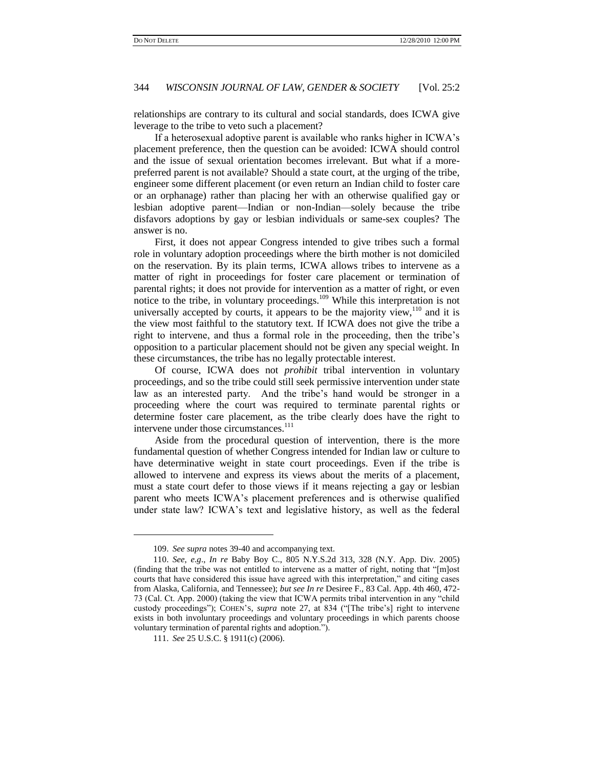relationships are contrary to its cultural and social standards, does ICWA give leverage to the tribe to veto such a placement?

If a heterosexual adoptive parent is available who ranks higher in ICWA's placement preference, then the question can be avoided: ICWA should control and the issue of sexual orientation becomes irrelevant. But what if a morepreferred parent is not available? Should a state court, at the urging of the tribe, engineer some different placement (or even return an Indian child to foster care or an orphanage) rather than placing her with an otherwise qualified gay or lesbian adoptive parent—Indian or non-Indian—solely because the tribe disfavors adoptions by gay or lesbian individuals or same-sex couples? The answer is no.

First, it does not appear Congress intended to give tribes such a formal role in voluntary adoption proceedings where the birth mother is not domiciled on the reservation. By its plain terms, ICWA allows tribes to intervene as a matter of right in proceedings for foster care placement or termination of parental rights; it does not provide for intervention as a matter of right, or even notice to the tribe, in voluntary proceedings.<sup>109</sup> While this interpretation is not universally accepted by courts, it appears to be the majority view, $110$  and it is the view most faithful to the statutory text. If ICWA does not give the tribe a right to intervene, and thus a formal role in the proceeding, then the tribe's opposition to a particular placement should not be given any special weight. In these circumstances, the tribe has no legally protectable interest.

<span id="page-17-0"></span>Of course, ICWA does not *prohibit* tribal intervention in voluntary proceedings, and so the tribe could still seek permissive intervention under state law as an interested party. And the tribe's hand would be stronger in a proceeding where the court was required to terminate parental rights or determine foster care placement, as the tribe clearly does have the right to intervene under those circumstances.<sup>111</sup>

Aside from the procedural question of intervention, there is the more fundamental question of whether Congress intended for Indian law or culture to have determinative weight in state court proceedings. Even if the tribe is allowed to intervene and express its views about the merits of a placement, must a state court defer to those views if it means rejecting a gay or lesbian parent who meets ICWA's placement preferences and is otherwise qualified under state law? ICWA's text and legislative history, as well as the federal

<sup>109.</sup> *See supra* note[s 39](#page-6-2)[-40](#page-6-3) and accompanying text.

<sup>110.</sup> *See*, *e*.*g*., *In re* Baby Boy C., 805 N.Y.S.2d 313, 328 (N.Y. App. Div. 2005) (finding that the tribe was not entitled to intervene as a matter of right, noting that "[m]ost courts that have considered this issue have agreed with this interpretation," and citing cases from Alaska, California, and Tennessee); *but see In re* Desiree F., 83 Cal. App. 4th 460, 472- 73 (Cal. Ct. App. 2000) (taking the view that ICWA permits tribal intervention in any "child" custody proceedings"); COHEN'S, *supra* note [27,](#page-4-0) at 834 ("[The tribe's] right to intervene exists in both involuntary proceedings and voluntary proceedings in which parents choose voluntary termination of parental rights and adoption.").

<sup>111.</sup> *See* 25 U.S.C. § 1911(c) (2006).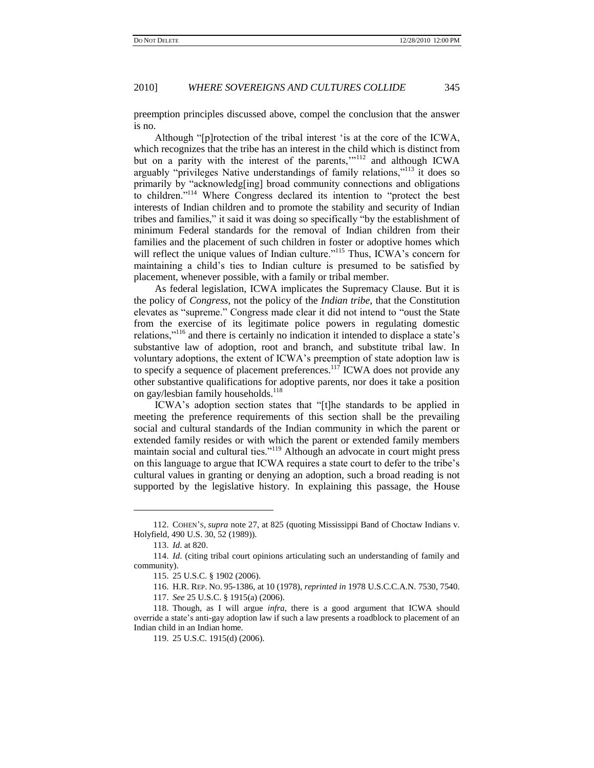preemption principles discussed above, compel the conclusion that the answer is no.

Although "[p]rotection of the tribal interest 'is at the core of the ICWA, which recognizes that the tribe has an interest in the child which is distinct from but on a parity with the interest of the parents,""<sup>112</sup> and although ICWA arguably "privileges Native understandings of family relations," $113$  it does so primarily by "acknowledg[ing] broad community connections and obligations to children."<sup>114</sup> Where Congress declared its intention to "protect the best interests of Indian children and to promote the stability and security of Indian tribes and families," it said it was doing so specifically "by the establishment of minimum Federal standards for the removal of Indian children from their families and the placement of such children in foster or adoptive homes which will reflect the unique values of Indian culture."<sup>115</sup> Thus, ICWA's concern for maintaining a child's ties to Indian culture is presumed to be satisfied by placement, whenever possible, with a family or tribal member.

As federal legislation, ICWA implicates the Supremacy Clause. But it is the policy of *Congress*, not the policy of the *Indian tribe*, that the Constitution elevates as "supreme." Congress made clear it did not intend to "oust the State" from the exercise of its legitimate police powers in regulating domestic relations,"<sup>116</sup> and there is certainly no indication it intended to displace a state's substantive law of adoption, root and branch, and substitute tribal law. In voluntary adoptions, the extent of ICWA's preemption of state adoption law is to specify a sequence of placement preferences.<sup>117</sup> ICWA does not provide any other substantive qualifications for adoptive parents, nor does it take a position on gay/lesbian family households.<sup>118</sup>

ICWA's adoption section states that "[t]he standards to be applied in meeting the preference requirements of this section shall be the prevailing social and cultural standards of the Indian community in which the parent or extended family resides or with which the parent or extended family members maintain social and cultural ties."<sup>119</sup> Although an advocate in court might press on this language to argue that ICWA requires a state court to defer to the tribe's cultural values in granting or denying an adoption, such a broad reading is not supported by the legislative history. In explaining this passage, the House

<sup>112.</sup> COHEN'S, *supra* note [27,](#page-4-0) at 825 (quoting Mississippi Band of Choctaw Indians v. Holyfield, 490 U.S. 30, 52 (1989)).

<sup>113.</sup> *Id*. at 820.

<sup>114.</sup> *Id*. (citing tribal court opinions articulating such an understanding of family and community).

<sup>115.</sup> 25 U.S.C. § 1902 (2006).

<sup>116.</sup> H.R. REP. NO. 95-1386, at 10 (1978), *reprinted in* 1978 U.S.C.C.A.N. 7530, 7540.

<sup>117.</sup> *See* 25 U.S.C. § 1915(a) (2006).

<sup>118.</sup> Though, as I will argue *infra*, there is a good argument that ICWA should override a state's anti-gay adoption law if such a law presents a roadblock to placement of an Indian child in an Indian home.

<sup>119.</sup> 25 U.S.C. 1915(d) (2006).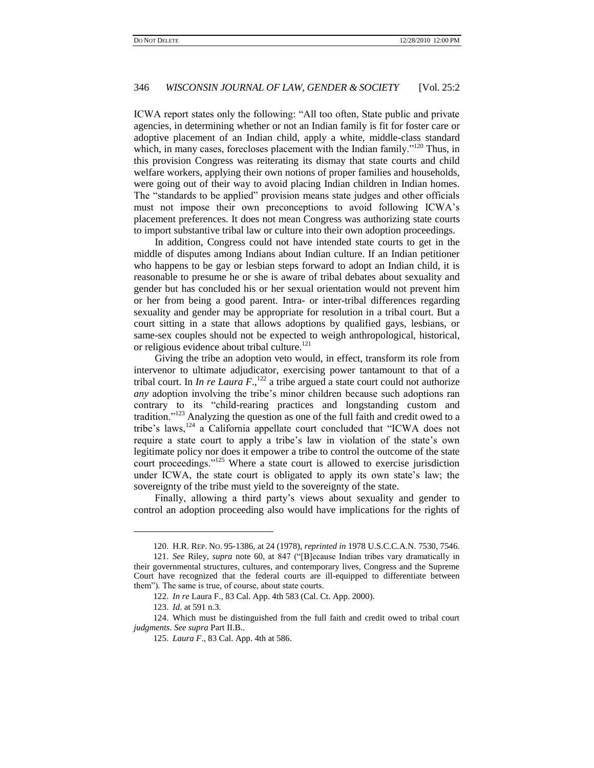ICWA report states only the following: "All too often, State public and private agencies, in determining whether or not an Indian family is fit for foster care or adoptive placement of an Indian child, apply a white, middle-class standard which, in many cases, forecloses placement with the Indian family.<sup> $120$ </sup> Thus, in this provision Congress was reiterating its dismay that state courts and child welfare workers, applying their own notions of proper families and households, were going out of their way to avoid placing Indian children in Indian homes. The "standards to be applied" provision means state judges and other officials must not impose their own preconceptions to avoid following ICWA's placement preferences. It does not mean Congress was authorizing state courts to import substantive tribal law or culture into their own adoption proceedings.

In addition, Congress could not have intended state courts to get in the middle of disputes among Indians about Indian culture. If an Indian petitioner who happens to be gay or lesbian steps forward to adopt an Indian child, it is reasonable to presume he or she is aware of tribal debates about sexuality and gender but has concluded his or her sexual orientation would not prevent him or her from being a good parent. Intra- or inter-tribal differences regarding sexuality and gender may be appropriate for resolution in a tribal court. But a court sitting in a state that allows adoptions by qualified gays, lesbians, or same-sex couples should not be expected to weigh anthropological, historical, or religious evidence about tribal culture.<sup>121</sup>

Giving the tribe an adoption veto would, in effect, transform its role from intervenor to ultimate adjudicator, exercising power tantamount to that of a tribal court. In *In re Laura F*.,<sup>122</sup> a tribe argued a state court could not authorize *any* adoption involving the tribe's minor children because such adoptions ran contrary to its "child-rearing practices and longstanding custom and tradition."<sup>123</sup> Analyzing the question as one of the full faith and credit owed to a tribe's laws, $124$  a California appellate court concluded that "ICWA does not require a state court to apply a tribe's law in violation of the state's own legitimate policy nor does it empower a tribe to control the outcome of the state court proceedings."<sup>125</sup> Where a state court is allowed to exercise jurisdiction under ICWA, the state court is obligated to apply its own state's law; the sovereignty of the tribe must yield to the sovereignty of the state.

Finally, allowing a third party's views about sexuality and gender to control an adoption proceeding also would have implications for the rights of

<sup>120.</sup> H.R. REP. NO. 95-1386, at 24 (1978), *reprinted in* 1978 U.S.C.C.A.N. 7530, 7546.

<sup>121.</sup> *See* Riley, *supra* note [60,](#page-9-1) at 847 ("[B]ecause Indian tribes vary dramatically in their governmental structures, cultures, and contemporary lives, Congress and the Supreme Court have recognized that the federal courts are ill-equipped to differentiate between them"). The same is true, of course, about state courts.

<sup>122.</sup> *In re* Laura F., 83 Cal. App. 4th 583 (Cal. Ct. App. 2000).

<sup>123.</sup> *Id*. at 591 n.3.

<sup>124.</sup> Which must be distinguished from the full faith and credit owed to tribal court *judgments*. *See supra* Part II.B..

<sup>125.</sup> *Laura F*., 83 Cal. App. 4th at 586.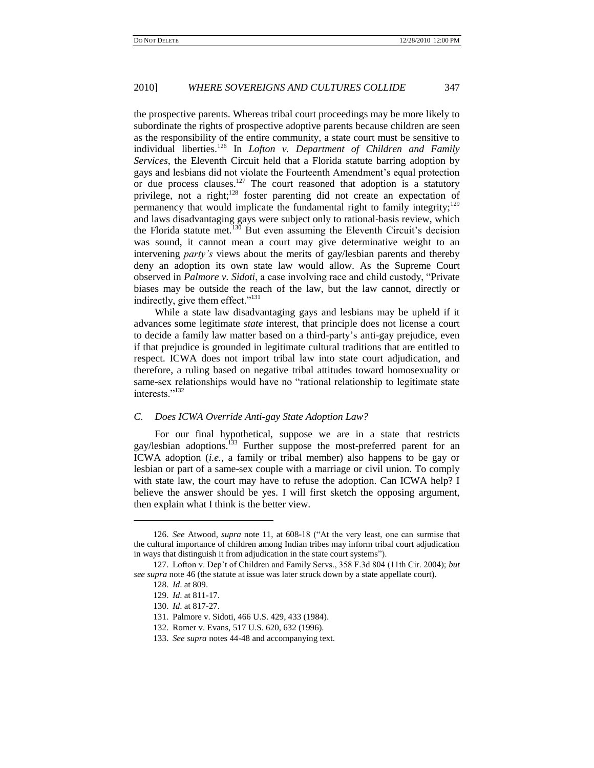<span id="page-20-0"></span>the prospective parents. Whereas tribal court proceedings may be more likely to subordinate the rights of prospective adoptive parents because children are seen as the responsibility of the entire community, a state court must be sensitive to individual liberties.<sup>126</sup> In *Lofton v. Department of Children and Family Services*, the Eleventh Circuit held that a Florida statute barring adoption by gays and lesbians did not violate the Fourteenth Amendment's equal protection or due process clauses.<sup>127</sup> The court reasoned that adoption is a statutory privilege, not a right;<sup>128</sup> foster parenting did not create an expectation of permanency that would implicate the fundamental right to family integrity;<sup>129</sup> and laws disadvantaging gays were subject only to rational-basis review, which the Florida statute met.<sup>130</sup> But even assuming the Eleventh Circuit's decision was sound, it cannot mean a court may give determinative weight to an intervening *party's* views about the merits of gay/lesbian parents and thereby deny an adoption its own state law would allow. As the Supreme Court observed in *Palmore v. Sidoti*, a case involving race and child custody, "Private biases may be outside the reach of the law, but the law cannot, directly or indirectly, give them effect."<sup>131</sup>

While a state law disadvantaging gays and lesbians may be upheld if it advances some legitimate *state* interest, that principle does not license a court to decide a family law matter based on a third-party's anti-gay prejudice, even if that prejudice is grounded in legitimate cultural traditions that are entitled to respect. ICWA does not import tribal law into state court adjudication, and therefore, a ruling based on negative tribal attitudes toward homosexuality or same-sex relationships would have no "rational relationship to legitimate state interests."<sup>132</sup>

#### *C. Does ICWA Override Anti-gay State Adoption Law?*

For our final hypothetical, suppose we are in a state that restricts gay/lesbian adoptions.<sup>133</sup> Further suppose the most-preferred parent for an ICWA adoption (*i.e.*, a family or tribal member) also happens to be gay or lesbian or part of a same-sex couple with a marriage or civil union. To comply with state law, the court may have to refuse the adoption. Can ICWA help? I believe the answer should be yes. I will first sketch the opposing argument, then explain what I think is the better view.

<sup>126.</sup> *See* Atwood, *supra* note [11,](#page-1-0) at 608-18 ("At the very least, one can surmise that the cultural importance of children among Indian tribes may inform tribal court adjudication in ways that distinguish it from adjudication in the state court systems").

<sup>127.</sup> Lofton v. Dep't of Children and Family Servs., 358 F.3d 804 (11th Cir. 2004); *but see supra* not[e 46](#page-6-4) (the statute at issue was later struck down by a state appellate court).

<sup>128.</sup> *Id*. at 809.

<sup>129.</sup> *Id*. at 811-17.

<sup>130.</sup> *Id*. at 817-27.

<sup>131.</sup> Palmore v. Sidoti, 466 U.S. 429, 433 (1984).

<sup>132.</sup> Romer v. Evans, 517 U.S. 620, 632 (1996).

<sup>133.</sup> *See supra* note[s 44](#page-6-5)[-48](#page-7-1) and accompanying text.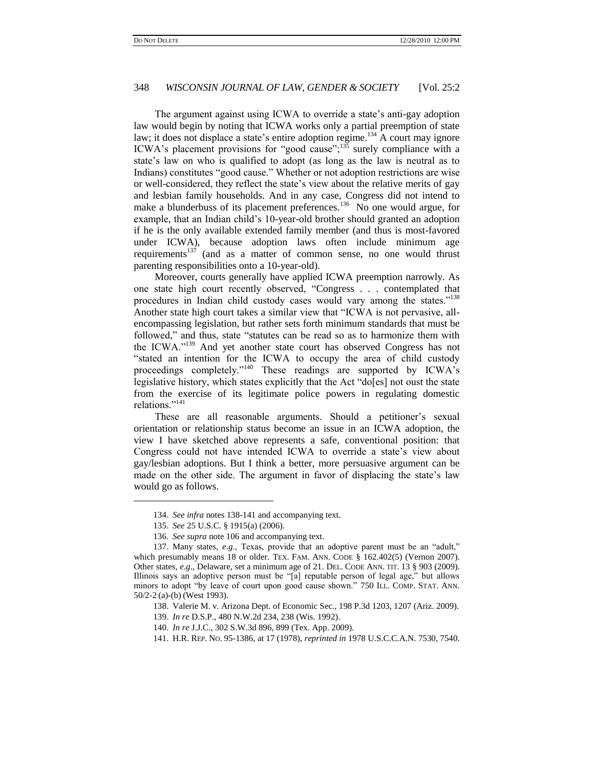The argument against using ICWA to override a state's anti-gay adoption law would begin by noting that ICWA works only a partial preemption of state law; it does not displace a state's entire adoption regime.<sup>134</sup> A court may ignore ICWA's placement provisions for "good cause"; $\frac{135}{3}$  surely compliance with a state's law on who is qualified to adopt (as long as the law is neutral as to Indians) constitutes "good cause." Whether or not adoption restrictions are wise or well-considered, they reflect the state's view about the relative merits of gay and lesbian family households. And in any case, Congress did not intend to make a blunderbuss of its placement preferences.<sup>136</sup> No one would argue, for example, that an Indian child's 10-year-old brother should granted an adoption if he is the only available extended family member (and thus is most-favored under ICWA), because adoption laws often include minimum age requirements<sup>137</sup> (and as a matter of common sense, no one would thrust parenting responsibilities onto a 10-year-old).

<span id="page-21-0"></span>Moreover, courts generally have applied ICWA preemption narrowly. As one state high court recently observed, "Congress . . . contemplated that procedures in Indian child custody cases would vary among the states."<sup>138</sup> Another state high court takes a similar view that "ICWA is not pervasive, allencompassing legislation, but rather sets forth minimum standards that must be followed," and thus, state "statutes can be read so as to harmonize them with the ICWA."<sup>139</sup> And yet another state court has observed Congress has not "stated an intention for the ICWA to occupy the area of child custody proceedings completely."<sup>140</sup> These readings are supported by ICWA's legislative history, which states explicitly that the Act "do[es] not oust the state from the exercise of its legitimate police powers in regulating domestic relations."<sup>141</sup>

<span id="page-21-2"></span><span id="page-21-1"></span>These are all reasonable arguments. Should a petitioner's sexual orientation or relationship status become an issue in an ICWA adoption, the view I have sketched above represents a safe, conventional position: that Congress could not have intended ICWA to override a state's view about gay/lesbian adoptions. But I think a better, more persuasive argument can be made on the other side. The argument in favor of displacing the state's law would go as follows.

 $\overline{\phantom{a}}$ 

<sup>134.</sup> *See infra* note[s 138](#page-21-0)[-141](#page-21-2) and accompanying text.

<sup>135.</sup> *See* 25 U.S.C. § 1915(a) (2006).

<sup>136.</sup> *See supra* not[e 106](#page-16-0) and accompanying text.

<sup>137.</sup> Many states, e.g., Texas, provide that an adoptive parent must be an "adult," which presumably means 18 or older. TEX. FAM. ANN. CODE § 162.402(5) (Vernon 2007). Other states, *e*.*g*.*,* Delaware, set a minimum age of 21. DEL. CODE ANN. TIT. 13 § 903 (2009). Illinois says an adoptive person must be "[a] reputable person of legal age," but allows minors to adopt "by leave of court upon good cause shown." 750 ILL. COMP. STAT. ANN. 50/2-2 (a)-(b) (West 1993).

<sup>138.</sup> Valerie M. v. Arizona Dept. of Economic Sec., 198 P.3d 1203, 1207 (Ariz. 2009).

<sup>139.</sup> *In re* D.S.P., 480 N.W.2d 234, 238 (Wis. 1992).

<sup>140.</sup> *In re* J.J.C., 302 S.W.3d 896, 899 (Tex. App. 2009).

<sup>141.</sup> H.R. REP. NO. 95-1386, at 17 (1978), *reprinted in* 1978 U.S.C.C.A.N. 7530, 7540.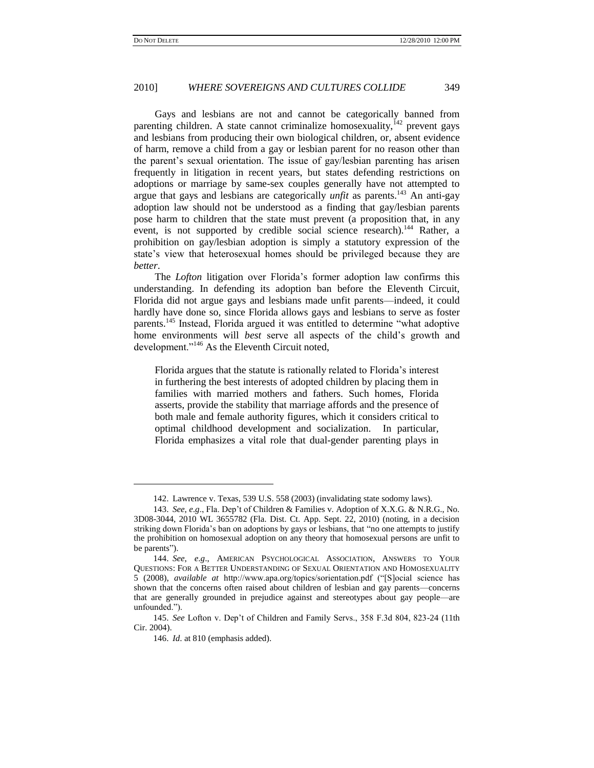Gays and lesbians are not and cannot be categorically banned from parenting children. A state cannot criminalize homosexuality,  $142$  prevent gays and lesbians from producing their own biological children, or, absent evidence of harm, remove a child from a gay or lesbian parent for no reason other than the parent's sexual orientation. The issue of gay/lesbian parenting has arisen frequently in litigation in recent years, but states defending restrictions on adoptions or marriage by same-sex couples generally have not attempted to argue that gays and lesbians are categorically *unfit* as parents.<sup>143</sup> An anti-gay adoption law should not be understood as a finding that gay/lesbian parents pose harm to children that the state must prevent (a proposition that, in any event, is not supported by credible social science research).<sup>144</sup> Rather, a prohibition on gay/lesbian adoption is simply a statutory expression of the state's view that heterosexual homes should be privileged because they are *better*.

The *Lofton* litigation over Florida's former adoption law confirms this understanding. In defending its adoption ban before the Eleventh Circuit, Florida did not argue gays and lesbians made unfit parents—indeed, it could hardly have done so, since Florida allows gays and lesbians to serve as foster parents.<sup>145</sup> Instead, Florida argued it was entitled to determine "what adoptive home environments will *best* serve all aspects of the child's growth and development."<sup>146</sup> As the Eleventh Circuit noted,

Florida argues that the statute is rationally related to Florida's interest in furthering the best interests of adopted children by placing them in families with married mothers and fathers. Such homes, Florida asserts, provide the stability that marriage affords and the presence of both male and female authority figures, which it considers critical to optimal childhood development and socialization. In particular, Florida emphasizes a vital role that dual-gender parenting plays in

<sup>142.</sup> Lawrence v. Texas, 539 U.S. 558 (2003) (invalidating state sodomy laws).

<sup>143.</sup> *See*, *e*.*g*., Fla. Dep't of Children & Families v. Adoption of X.X.G. & N.R.G., No. 3D08-3044, 2010 WL 3655782 (Fla. Dist. Ct. App. Sept. 22, 2010) (noting, in a decision striking down Florida's ban on adoptions by gays or lesbians, that "no one attempts to justify the prohibition on homosexual adoption on any theory that homosexual persons are unfit to be parents").

<sup>144.</sup> *See*, *e*.*g*., AMERICAN PSYCHOLOGICAL ASSOCIATION, ANSWERS TO YOUR QUESTIONS: FOR A BETTER UNDERSTANDING OF SEXUAL ORIENTATION AND HOMOSEXUALITY 5 (2008), *available at* http://www.apa.org/topics/sorientation.pdf ("Social science has shown that the concerns often raised about children of lesbian and gay parents—concerns that are generally grounded in prejudice against and stereotypes about gay people—are unfounded.").

<sup>145.</sup> *See* Lofton v. Dep't of Children and Family Servs., 358 F.3d 804, 823-24 (11th Cir. 2004).

<sup>146.</sup> *Id*. at 810 (emphasis added).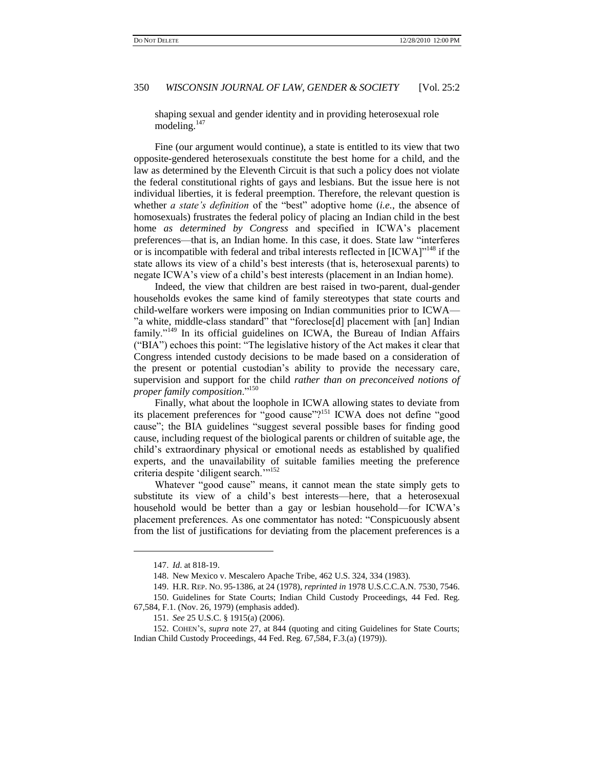shaping sexual and gender identity and in providing heterosexual role modeling. $147$ 

Fine (our argument would continue), a state is entitled to its view that two opposite-gendered heterosexuals constitute the best home for a child, and the law as determined by the Eleventh Circuit is that such a policy does not violate the federal constitutional rights of gays and lesbians. But the issue here is not individual liberties, it is federal preemption. Therefore, the relevant question is whether *a state's definition* of the "best" adoptive home (*i.e.*, the absence of homosexuals) frustrates the federal policy of placing an Indian child in the best home *as determined by Congress* and specified in ICWA's placement preferences—that is, an Indian home. In this case, it does. State law "interferes or is incompatible with federal and tribal interests reflected in  $[ICWA]^{148}$  if the state allows its view of a child's best interests (that is, heterosexual parents) to negate ICWA's view of a child's best interests (placement in an Indian home).

Indeed, the view that children are best raised in two-parent, dual-gender households evokes the same kind of family stereotypes that state courts and child-welfare workers were imposing on Indian communities prior to ICWA— "a white, middle-class standard" that "foreclose[d] placement with [an] Indian family."<sup>149</sup> In its official guidelines on ICWA, the Bureau of Indian Affairs (―BIA‖) echoes this point: ―The legislative history of the Act makes it clear that Congress intended custody decisions to be made based on a consideration of the present or potential custodian's ability to provide the necessary care, supervision and support for the child *rather than on preconceived notions of proper family composition.*"<sup>150</sup>

Finally, what about the loophole in ICWA allowing states to deviate from its placement preferences for "good cause"?<sup>151</sup> ICWA does not define "good cause"; the BIA guidelines "suggest several possible bases for finding good cause, including request of the biological parents or children of suitable age, the child's extraordinary physical or emotional needs as established by qualified experts, and the unavailability of suitable families meeting the preference criteria despite 'diligent search.'"<sup>152</sup>

Whatever "good cause" means, it cannot mean the state simply gets to substitute its view of a child's best interests—here, that a heterosexual household would be better than a gay or lesbian household—for ICWA's placement preferences. As one commentator has noted: "Conspicuously absent from the list of justifications for deviating from the placement preferences is a

<sup>147.</sup> *Id*. at 818-19.

<sup>148.</sup> New Mexico v. Mescalero Apache Tribe, 462 U.S. 324, 334 (1983).

<sup>149.</sup> H.R. REP. NO. 95-1386, at 24 (1978), *reprinted in* 1978 U.S.C.C.A.N. 7530, 7546. 150. Guidelines for State Courts; Indian Child Custody Proceedings, 44 Fed. Reg.

<sup>67,584,</sup> F.1. (Nov. 26, 1979) (emphasis added).

<sup>151.</sup> *See* 25 U.S.C. § 1915(a) (2006).

<sup>152.</sup> COHEN'S, *supra* note [27,](#page-4-0) at 844 (quoting and citing Guidelines for State Courts; Indian Child Custody Proceedings, 44 Fed. Reg. 67,584, F.3.(a) (1979)).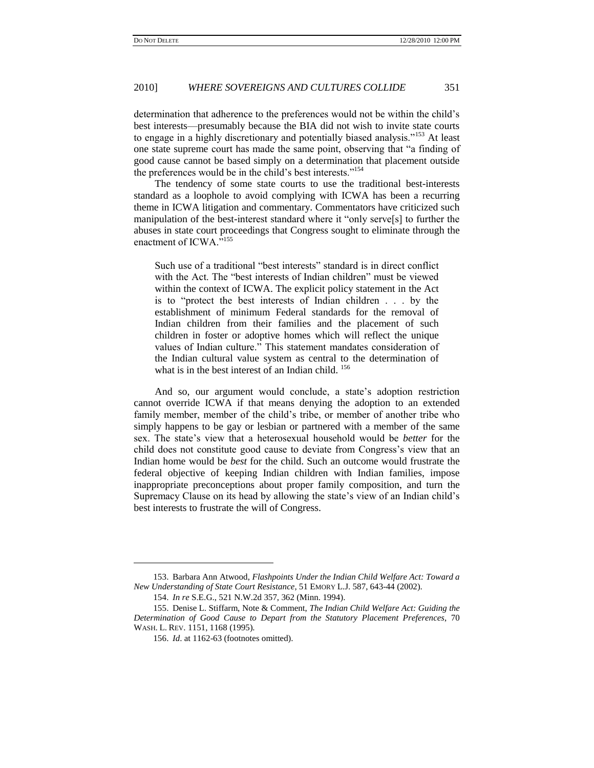determination that adherence to the preferences would not be within the child's best interests—presumably because the BIA did not wish to invite state courts to engage in a highly discretionary and potentially biased analysis."<sup>153</sup> At least one state supreme court has made the same point, observing that "a finding of good cause cannot be based simply on a determination that placement outside the preferences would be in the child's best interests."<sup>154</sup>

The tendency of some state courts to use the traditional best-interests standard as a loophole to avoid complying with ICWA has been a recurring theme in ICWA litigation and commentary. Commentators have criticized such manipulation of the best-interest standard where it "only serve[s] to further the abuses in state court proceedings that Congress sought to eliminate through the enactment of ICWA."<sup>155</sup>

Such use of a traditional "best interests" standard is in direct conflict with the Act. The "best interests of Indian children" must be viewed within the context of ICWA. The explicit policy statement in the Act is to "protect the best interests of Indian children . . . by the establishment of minimum Federal standards for the removal of Indian children from their families and the placement of such children in foster or adoptive homes which will reflect the unique values of Indian culture." This statement mandates consideration of the Indian cultural value system as central to the determination of what is in the best interest of an Indian child. <sup>156</sup>

And so, our argument would conclude, a state's adoption restriction cannot override ICWA if that means denying the adoption to an extended family member, member of the child's tribe, or member of another tribe who simply happens to be gay or lesbian or partnered with a member of the same sex. The state's view that a heterosexual household would be *better* for the child does not constitute good cause to deviate from Congress's view that an Indian home would be *best* for the child. Such an outcome would frustrate the federal objective of keeping Indian children with Indian families, impose inappropriate preconceptions about proper family composition, and turn the Supremacy Clause on its head by allowing the state's view of an Indian child's best interests to frustrate the will of Congress.

 $\overline{\phantom{a}}$ 

<sup>153.</sup> Barbara Ann Atwood, *Flashpoints Under the Indian Child Welfare Act: Toward a New Understanding of State Court Resistance*, 51 EMORY L.J. 587, 643-44 (2002).

<sup>154.</sup> *In re* S.E.G., 521 N.W.2d 357, 362 (Minn. 1994).

<sup>155.</sup> Denise L. Stiffarm, Note & Comment, *The Indian Child Welfare Act: Guiding the Determination of Good Cause to Depart from the Statutory Placement Preferences*, 70 WASH. L. REV. 1151, 1168 (1995).

<sup>156.</sup> *Id*. at 1162-63 (footnotes omitted).